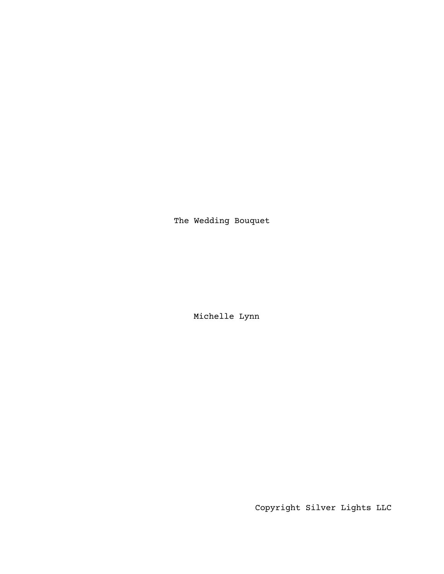The Wedding Bouquet

Michelle Lynn

Copyright Silver Lights LLC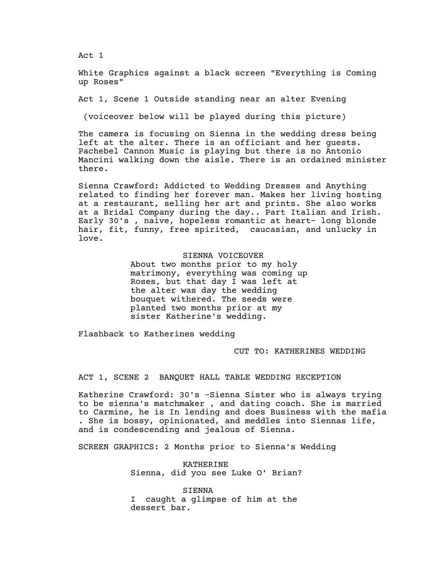Act 1

White Graphics against a black screen "Everything is Coming up Roses"

Act 1, Scene 1 Outside standing near an alter Evening

(voiceover below will be played during this picture)

The camera is focusing on Sienna in the wedding dress being left at the alter. There is an officiant and her guests. Pachebel Cannon Music is playing but there is no Antonio Mancini walking down the aisle. There is an ordained minister there.

Sienna Crawford: Addicted to Wedding Dresses and Anything related to finding her forever man. Makes her living hosting at a restaurant, selling her art and prints. She also works at a Bridal Company during the day.. Part Italian and Irish. Early 30's , naive, hopeless romantic at heart- long blonde hair, fit, funny, free spirited, caucasian, and unlucky in love.

> SIENNA VOICEOVER About two months prior to my holy matrimony, everything was coming up Roses, but that day I was left at the alter was day the wedding bouquet withered. The seeds were planted two months prior at my sister Katherine's wedding.

Flashback to Katherines wedding

CUT TO: KATHERINES WEDDING

ACT 1, SCENE 2 BANQUET HALL TABLE WEDDING RECEPTION

Katherine Crawford: 30's -Sienna Sister who is always trying to be sienna's matchmaker , and dating coach. She is married to Carmine, he is In lending and does Business with the mafia . She is bossy, opinionated, and meddles into Siennas life, and is condescending and jealous of Sienna.

SCREEN GRAPHICS: 2 Months prior to Sienna's Wedding

KATHERINE Sienna, did you see Luke O' Brian?

SIENNA I caught a glimpse of him at the dessert bar.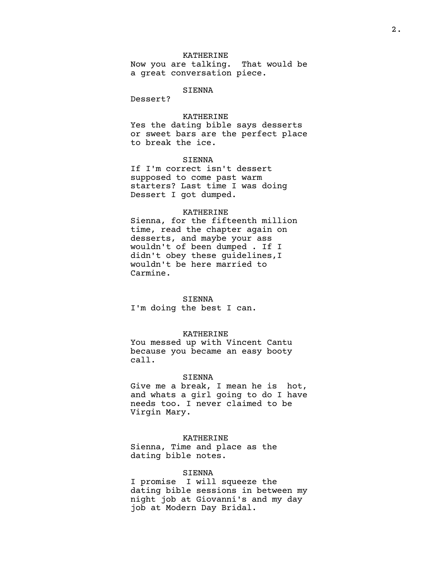## KATHERINE

Now you are talking. That would be a great conversation piece.

## SIENNA

Dessert?

## KATHERINE

Yes the dating bible says desserts or sweet bars are the perfect place to break the ice.

## SIENNA

If I'm correct isn't dessert supposed to come past warm starters? Last time I was doing Dessert I got dumped.

### KATHERINE

Sienna, for the fifteenth million time, read the chapter again on desserts, and maybe your ass wouldn't of been dumped . If I didn't obey these guidelines,I wouldn't be here married to Carmine.

## SIENNA

I'm doing the best I can.

### KATHERINE

You messed up with Vincent Cantu because you became an easy booty call.

### SIENNA

Give me a break, I mean he is hot, and whats a girl going to do I have needs too. I never claimed to be Virgin Mary.

### KATHERINE

Sienna, Time and place as the dating bible notes.

## SIENNA

I promise I will squeeze the dating bible sessions in between my night job at Giovanni's and my day job at Modern Day Bridal.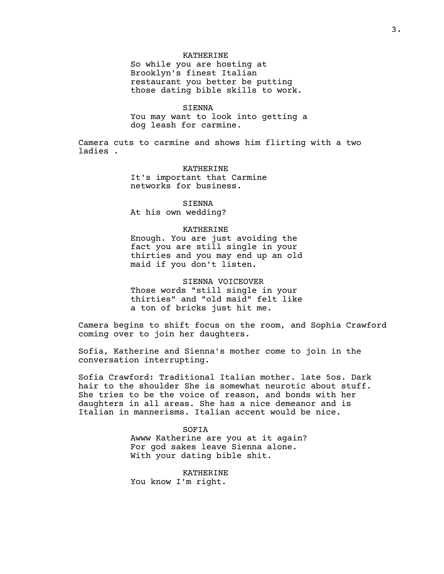## KATHERINE

So while you are hosting at Brooklyn's finest Italian restaurant you better be putting those dating bible skills to work.

#### SIENNA

You may want to look into getting a dog leash for carmine.

Camera cuts to carmine and shows him flirting with a two ladies .

> KATHERINE It's important that Carmine networks for business.

SIENNA At his own wedding?

#### KATHERINE

Enough. You are just avoiding the fact you are still single in your thirties and you may end up an old maid if you don't listen.

SIENNA VOICEOVER Those words "still single in your thirties" and "old maid" felt like a ton of bricks just hit me.

Camera begins to shift focus on the room, and Sophia Crawford coming over to join her daughters.

Sofia, Katherine and Sienna's mother come to join in the conversation interrupting.

Sofia Crawford: Traditional Italian mother. late 5os. Dark hair to the shoulder She is somewhat neurotic about stuff. She tries to be the voice of reason, and bonds with her daughters in all areas. She has a nice demeanor and is Italian in mannerisms. Italian accent would be nice.

> SOFIA Awww Katherine are you at it again? For god sakes leave Sienna alone. With your dating bible shit.

KATHERINE You know I'm right.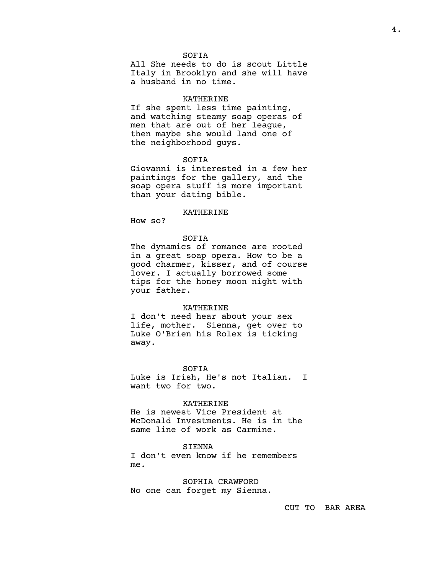### SOFIA

All She needs to do is scout Little Italy in Brooklyn and she will have a husband in no time.

### KATHERINE

If she spent less time painting, and watching steamy soap operas of men that are out of her league, then maybe she would land one of the neighborhood guys.

## SOFIA

Giovanni is interested in a few her paintings for the gallery, and the soap opera stuff is more important than your dating bible.

### KATHERINE

How so?

## SOFIA

The dynamics of romance are rooted in a great soap opera. How to be a good charmer, kisser, and of course lover. I actually borrowed some tips for the honey moon night with your father.

### KATHERINE

I don't need hear about your sex life, mother. Sienna, get over to Luke O'Brien his Rolex is ticking away.

SOFIA

Luke is Irish, He's not Italian. I want two for two.

### KATHERINE

He is newest Vice President at McDonald Investments. He is in the same line of work as Carmine.

## SIENNA

I don't even know if he remembers me.

SOPHIA CRAWFORD No one can forget my Sienna.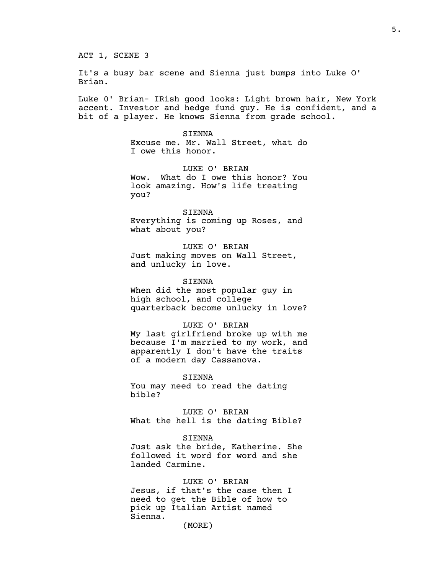It's a busy bar scene and Sienna just bumps into Luke O' Brian.

Luke 0' Brian- IRish good looks: Light brown hair, New York accent. Investor and hedge fund guy. He is confident, and a bit of a player. He knows Sienna from grade school.

> SIENNA Excuse me. Mr. Wall Street, what do I owe this honor.

LUKE O' BRIAN Wow. What do I owe this honor? You look amazing. How's life treating you?

SIENNA Everything is coming up Roses, and what about you?

LUKE O' BRIAN Just making moves on Wall Street, and unlucky in love.

SIENNA When did the most popular guy in high school, and college quarterback become unlucky in love?

# LUKE O' BRIAN

My last girlfriend broke up with me because I'm married to my work, and apparently I don't have the traits of a modern day Cassanova.

SIENNA You may need to read the dating bible?

LUKE O' BRIAN What the hell is the dating Bible?

SIENNA

Just ask the bride, Katherine. She followed it word for word and she landed Carmine.

LUKE O' BRIAN Jesus, if that's the case then I need to get the Bible of how to pick up Italian Artist named Sienna. (MORE)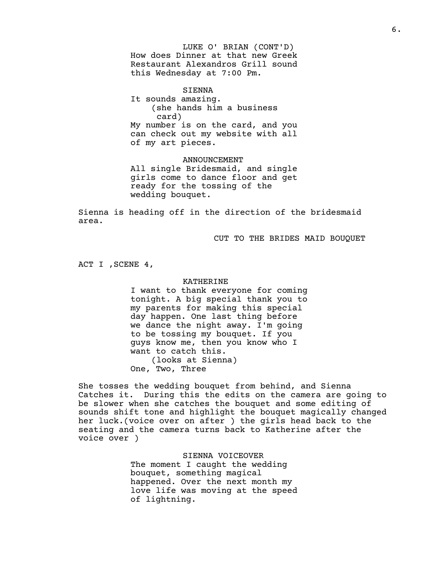LUKE O' BRIAN (CONT'D) How does Dinner at that new Greek Restaurant Alexandros Grill sound this Wednesday at 7:00 Pm.

SIENNA It sounds amazing. (she hands him a business card) My number is on the card, and you can check out my website with all of my art pieces.

ANNOUNCEMENT All single Bridesmaid, and single girls come to dance floor and get ready for the tossing of the wedding bouquet.

Sienna is heading off in the direction of the bridesmaid area.

CUT TO THE BRIDES MAID BOUQUET

ACT I ,SCENE 4,

### KATHERINE

I want to thank everyone for coming tonight. A big special thank you to my parents for making this special day happen. One last thing before we dance the night away. I'm going to be tossing my bouquet. If you guys know me, then you know who I want to catch this. (looks at Sienna) One, Two, Three

She tosses the wedding bouquet from behind, and Sienna Catches it. During this the edits on the camera are going to be slower when she catches the bouquet and some editing of sounds shift tone and highlight the bouquet magically changed her luck.(voice over on after ) the girls head back to the seating and the camera turns back to Katherine after the voice over )

> SIENNA VOICEOVER The moment I caught the wedding bouquet, something magical happened. Over the next month my love life was moving at the speed of lightning.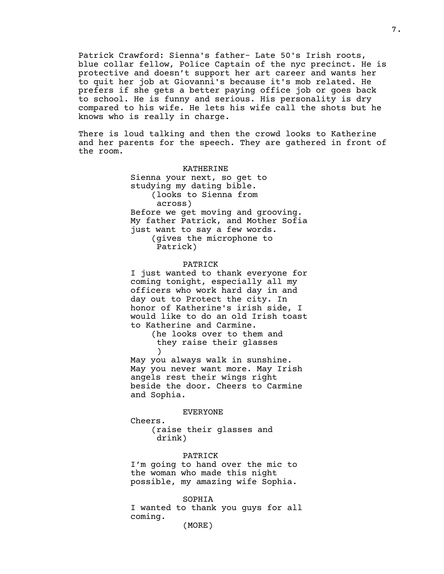Patrick Crawford: Sienna's father- Late 50's Irish roots, blue collar fellow, Police Captain of the nyc precinct. He is protective and doesn't support her art career and wants her to quit her job at Giovanni's because it's mob related. He prefers if she gets a better paying office job or goes back to school. He is funny and serious. His personality is dry compared to his wife. He lets his wife call the shots but he knows who is really in charge.

There is loud talking and then the crowd looks to Katherine and her parents for the speech. They are gathered in front of the room.

#### KATHERINE

Sienna your next, so get to studying my dating bible. (looks to Sienna from across) Before we get moving and grooving. My father Patrick, and Mother Sofia just want to say a few words. (gives the microphone to Patrick)

#### PATRICK

I just wanted to thank everyone for coming tonight, especially all my officers who work hard day in and day out to Protect the city. In honor of Katherine's irish side, I would like to do an old Irish toast to Katherine and Carmine.

> (he looks over to them and they raise their glasses )

May you always walk in sunshine. May you never want more. May Irish angels rest their wings right beside the door. Cheers to Carmine and Sophia.

EVERYONE

Cheers. (raise their glasses and drink)

### PATRICK

I'm going to hand over the mic to the woman who made this night possible, my amazing wife Sophia.

#### SOPHIA

I wanted to thank you guys for all coming.

(MORE)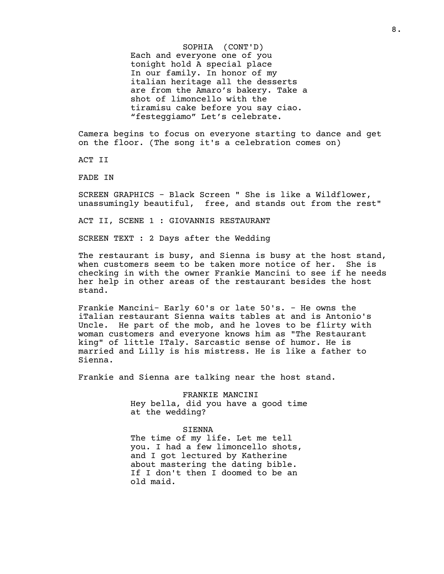SOPHIA (CONT'D) Each and everyone one of you tonight hold A special place In our family. In honor of my italian heritage all the desserts are from the Amaro's bakery. Take a shot of limoncello with the tiramisu cake before you say ciao. "festeggiamo" Let's celebrate.

Camera begins to focus on everyone starting to dance and get on the floor. (The song it's a celebration comes on)

ACT II

FADE IN

SCREEN GRAPHICS - Black Screen " She is like a Wildflower, unassumingly beautiful, free, and stands out from the rest"

ACT II, SCENE 1 : GIOVANNIS RESTAURANT

SCREEN TEXT : 2 Days after the Wedding

The restaurant is busy, and Sienna is busy at the host stand, when customers seem to be taken more notice of her. She is checking in with the owner Frankie Mancini to see if he needs her help in other areas of the restaurant besides the host stand.

Frankie Mancini- Early 60's or late 50's. - He owns the iTalian restaurant Sienna waits tables at and is Antonio's Uncle. He part of the mob, and he loves to be flirty with woman customers and everyone knows him as "The Restaurant king" of little ITaly. Sarcastic sense of humor. He is married and Lilly is his mistress. He is like a father to Sienna.

Frankie and Sienna are talking near the host stand.

FRANKIE MANCINI Hey bella, did you have a good time at the wedding?

#### SIENNA

The time of my life. Let me tell you. I had a few limoncello shots, and I got lectured by Katherine about mastering the dating bible. If I don't then I doomed to be an old maid.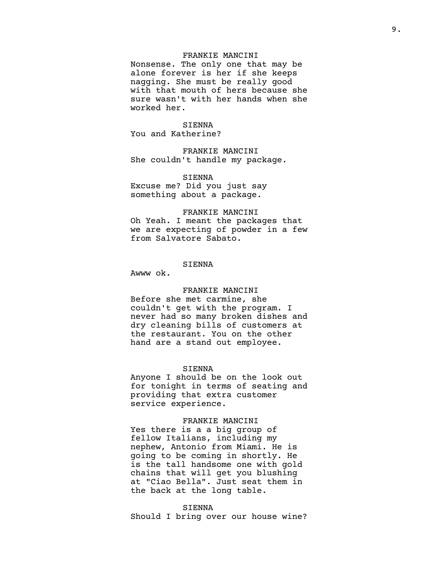## FRANKIE MANCINI

Nonsense. The only one that may be alone forever is her if she keeps nagging. She must be really good with that mouth of hers because she sure wasn't with her hands when she worked her.

### SIENNA

You and Katherine?

FRANKIE MANCINI She couldn't handle my package.

## SIENNA

Excuse me? Did you just say something about a package.

### FRANKIE MANCINI

Oh Yeah. I meant the packages that we are expecting of powder in a few from Salvatore Sabato.

## SIENNA

Awww ok.

## FRANKIE MANCINI

Before she met carmine, she couldn't get with the program. I never had so many broken dishes and dry cleaning bills of customers at the restaurant. You on the other hand are a stand out employee.

## SIENNA

Anyone I should be on the look out for tonight in terms of seating and providing that extra customer service experience.

## FRANKIE MANCINI

Yes there is a a big group of fellow Italians, including my nephew, Antonio from Miami. He is going to be coming in shortly. He is the tall handsome one with gold chains that will get you blushing at "Ciao Bella". Just seat them in the back at the long table.

### SIENNA

Should I bring over our house wine?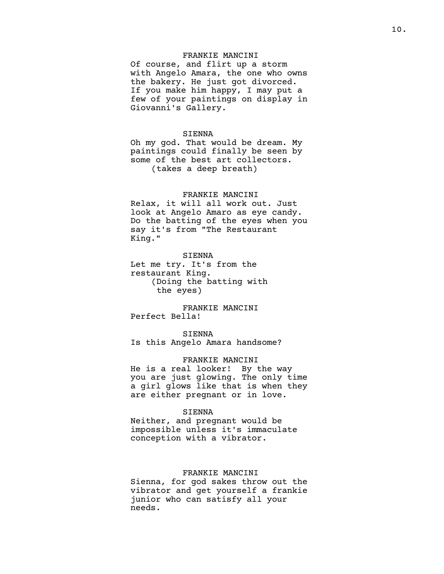## FRANKIE MANCINI

Of course, and flirt up a storm with Angelo Amara, the one who owns the bakery. He just got divorced. If you make him happy, I may put a few of your paintings on display in Giovanni's Gallery.

### SIENNA

Oh my god. That would be dream. My paintings could finally be seen by some of the best art collectors. (takes a deep breath)

## FRANKIE MANCINI

Relax, it will all work out. Just look at Angelo Amaro as eye candy. Do the batting of the eyes when you say it's from "The Restaurant King."

## SIENNA

Let me try. It's from the restaurant King. (Doing the batting with the eyes)

FRANKIE MANCINI Perfect Bella!

## SIENNA

Is this Angelo Amara handsome?

#### FRANKIE MANCINI

He is a real looker! By the way you are just glowing. The only time a girl glows like that is when they are either pregnant or in love.

## SIENNA

Neither, and pregnant would be impossible unless it's immaculate conception with a vibrator.

### FRANKIE MANCINI

Sienna, for god sakes throw out the vibrator and get yourself a frankie junior who can satisfy all your needs.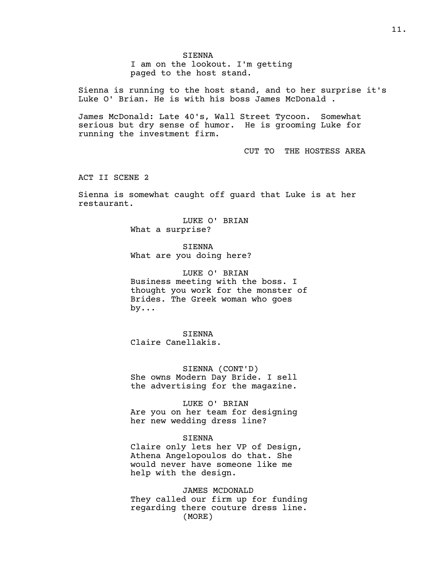I am on the lookout. I'm getting paged to the host stand.

Sienna is running to the host stand, and to her surprise it's Luke O' Brian. He is with his boss James McDonald .

James McDonald: Late 40's, Wall Street Tycoon. Somewhat serious but dry sense of humor. He is grooming Luke for running the investment firm.

CUT TO THE HOSTESS AREA

ACT II SCENE 2

Sienna is somewhat caught off guard that Luke is at her restaurant.

> LUKE O' BRIAN What a surprise?

SIENNA What are you doing here?

LUKE O' BRIAN Business meeting with the boss. I thought you work for the monster of Brides. The Greek woman who goes by...

SIENNA Claire Canellakis.

SIENNA (CONT'D) She owns Modern Day Bride. I sell the advertising for the magazine.

LUKE O' BRIAN Are you on her team for designing her new wedding dress line?

### SIENNA

Claire only lets her VP of Design, Athena Angelopoulos do that. She would never have someone like me help with the design.

JAMES MCDONALD They called our firm up for funding regarding there couture dress line. (MORE)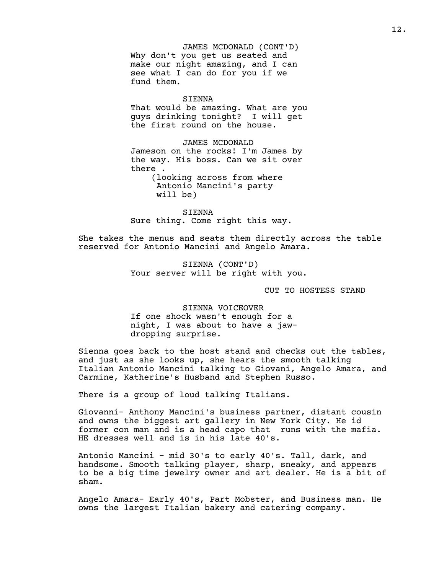JAMES MCDONALD (CONT'D) Why don't you get us seated and make our night amazing, and I can see what I can do for you if we fund them.

### SIENNA

That would be amazing. What are you guys drinking tonight? I will get the first round on the house.

#### JAMES MCDONALD

Jameson on the rocks! I'm James by the way. His boss. Can we sit over there .

> (looking across from where Antonio Mancini's party will be)

SIENNA Sure thing. Come right this way.

She takes the menus and seats them directly across the table reserved for Antonio Mancini and Angelo Amara.

> SIENNA (CONT'D) Your server will be right with you.

> > CUT TO HOSTESS STAND

SIENNA VOICEOVER If one shock wasn't enough for a night, I was about to have a jawdropping surprise.

Sienna goes back to the host stand and checks out the tables, and just as she looks up, she hears the smooth talking Italian Antonio Mancini talking to Giovani, Angelo Amara, and Carmine, Katherine's Husband and Stephen Russo.

There is a group of loud talking Italians.

Giovanni- Anthony Mancini's business partner, distant cousin and owns the biggest art gallery in New York City. He id former con man and is a head capo that runs with the mafia. HE dresses well and is in his late 40's.

Antonio Mancini - mid 30's to early 40's. Tall, dark, and handsome. Smooth talking player, sharp, sneaky, and appears to be a big time jewelry owner and art dealer. He is a bit of sham.

Angelo Amara- Early 40's, Part Mobster, and Business man. He owns the largest Italian bakery and catering company.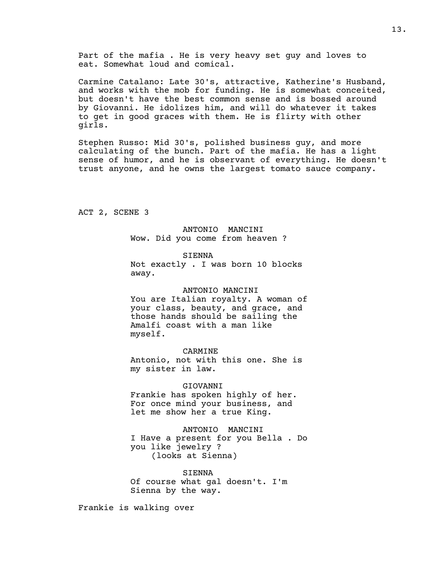Part of the mafia . He is very heavy set guy and loves to eat. Somewhat loud and comical.

Carmine Catalano: Late 30's, attractive, Katherine's Husband, and works with the mob for funding. He is somewhat conceited, but doesn't have the best common sense and is bossed around by Giovanni. He idolizes him, and will do whatever it takes to get in good graces with them. He is flirty with other girls.

Stephen Russo: Mid 30's, polished business guy, and more calculating of the bunch. Part of the mafia. He has a light sense of humor, and he is observant of everything. He doesn't trust anyone, and he owns the largest tomato sauce company.

ACT 2, SCENE 3

ANTONIO MANCINI Wow. Did you come from heaven ?

SIENNA Not exactly . I was born 10 blocks away.

#### ANTONIO MANCINI

You are Italian royalty. A woman of your class, beauty, and grace, and those hands should be sailing the Amalfi coast with a man like myself.

CARMINE

Antonio, not with this one. She is my sister in law.

### GIOVANNI

Frankie has spoken highly of her. For once mind your business, and let me show her a true King.

ANTONIO MANCINI I Have a present for you Bella . Do you like jewelry ? (looks at Sienna)

SIENNA Of course what gal doesn't. I'm Sienna by the way.

Frankie is walking over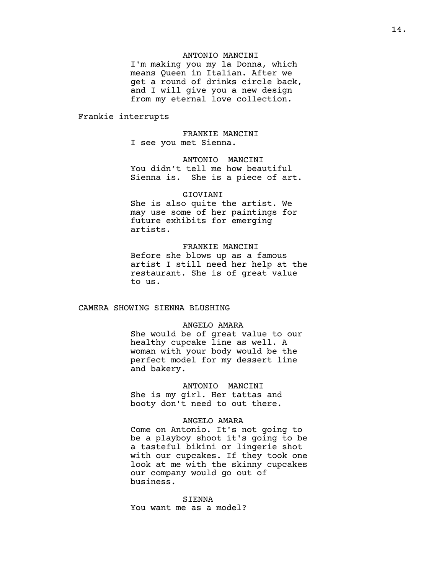## ANTONIO MANCINI

I'm making you my la Donna, which means Queen in Italian. After we get a round of drinks circle back, and I will give you a new design from my eternal love collection.

Frankie interrupts

FRANKIE MANCINI I see you met Sienna.

ANTONIO MANCINI You didn't tell me how beautiful Sienna is. She is a piece of art.

#### GIOVIANI

She is also quite the artist. We may use some of her paintings for future exhibits for emerging artists.

### FRANKIE MANCINI

Before she blows up as a famous artist I still need her help at the restaurant. She is of great value to us.

## CAMERA SHOWING SIENNA BLUSHING

## ANGELO AMARA

She would be of great value to our healthy cupcake line as well. A woman with your body would be the perfect model for my dessert line and bakery.

#### ANTONIO MANCINI

She is my girl. Her tattas and booty don't need to out there.

#### ANGELO AMARA

Come on Antonio. It's not going to be a playboy shoot it's going to be a tasteful bikini or lingerie shot with our cupcakes. If they took one look at me with the skinny cupcakes our company would go out of business.

## SIENNA

You want me as a model?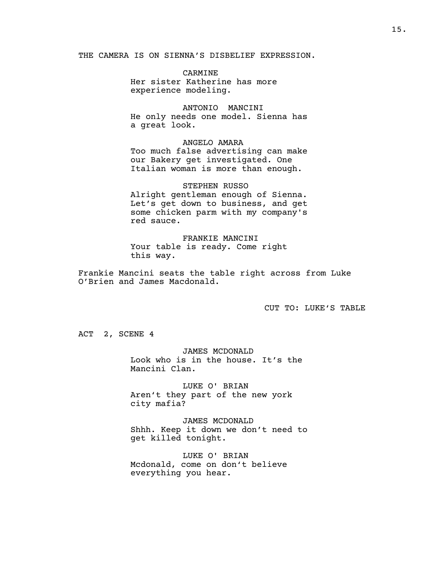THE CAMERA IS ON SIENNA'S DISBELIEF EXPRESSION.

CARMINE Her sister Katherine has more experience modeling.

ANTONIO MANCINI He only needs one model. Sienna has a great look.

ANGELO AMARA Too much false advertising can make our Bakery get investigated. One Italian woman is more than enough.

STEPHEN RUSSO Alright gentleman enough of Sienna. Let's get down to business, and get some chicken parm with my company's red sauce.

FRANKIE MANCINI Your table is ready. Come right this way.

Frankie Mancini seats the table right across from Luke O'Brien and James Macdonald.

CUT TO: LUKE'S TABLE

ACT 2, SCENE 4

JAMES MCDONALD Look who is in the house. It's the Mancini Clan.

LUKE O' BRIAN Aren't they part of the new york city mafia?

JAMES MCDONALD Shhh. Keep it down we don't need to get killed tonight.

LUKE O' BRIAN Mcdonald, come on don't believe everything you hear.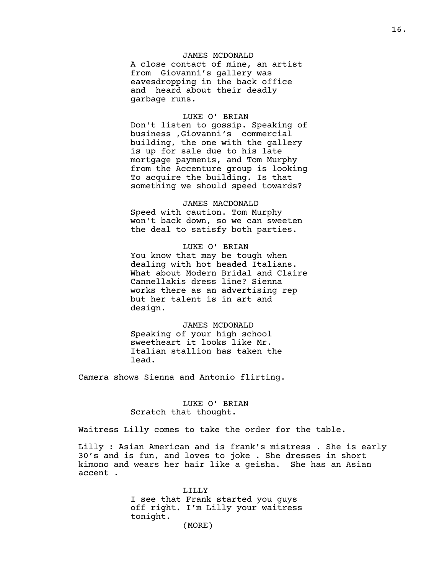## JAMES MCDONALD

A close contact of mine, an artist from Giovanni's gallery was eavesdropping in the back office and heard about their deadly garbage runs.

## LUKE O' BRIAN

Don't listen to gossip. Speaking of business ,Giovanni's commercial building, the one with the gallery is up for sale due to his late mortgage payments, and Tom Murphy from the Accenture group is looking To acquire the building. Is that something we should speed towards?

## JAMES MACDONALD

Speed with caution. Tom Murphy won't back down, so we can sweeten the deal to satisfy both parties.

## LUKE O' BRIAN

You know that may be tough when dealing with hot headed Italians. What about Modern Bridal and Claire Cannellakis dress line? Sienna works there as an advertising rep but her talent is in art and design.

### JAMES MCDONALD

Speaking of your high school sweetheart it looks like Mr. Italian stallion has taken the lead.

Camera shows Sienna and Antonio flirting.

## LUKE O' BRIAN Scratch that thought.

Waitress Lilly comes to take the order for the table.

Lilly : Asian American and is frank's mistress . She is early 30's and is fun, and loves to joke . She dresses in short kimono and wears her hair like a geisha. She has an Asian accent .

> LILLY I see that Frank started you guys off right. I'm Lilly your waitress tonight. (MORE)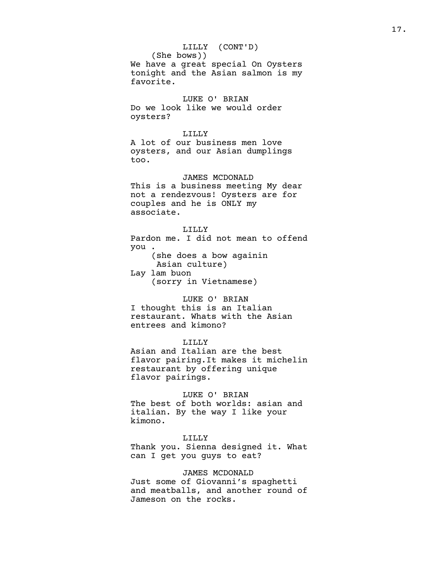LILLY (CONT'D) (She bows)) We have a great special On Oysters tonight and the Asian salmon is my favorite. LUKE O' BRIAN Do we look like we would order oysters? LILLY A lot of our business men love oysters, and our Asian dumplings too. JAMES MCDONALD This is a business meeting My dear not a rendezvous! Oysters are for couples and he is ONLY my associate. LILLY Pardon me. I did not mean to offend you . (she does a bow againin Asian culture) Lay lam buon (sorry in Vietnamese) LUKE O' BRIAN

I thought this is an Italian restaurant. Whats with the Asian entrees and kimono?

## LILLY

Asian and Italian are the best flavor pairing.It makes it michelin restaurant by offering unique flavor pairings.

## LUKE O' BRIAN

The best of both worlds: asian and italian. By the way I like your kimono.

### LILLY

Thank you. Sienna designed it. What can I get you guys to eat?

### JAMES MCDONALD

Just some of Giovanni's spaghetti and meatballs, and another round of Jameson on the rocks.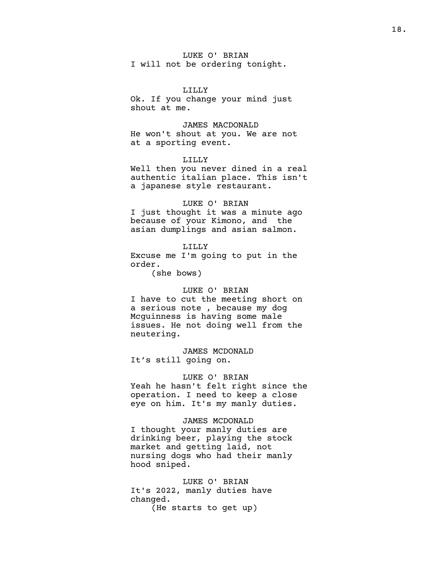# LUKE O' BRIAN

I will not be ordering tonight.

LILLY Ok. If you change your mind just shout at me.

# JAMES MACDONALD

He won't shout at you. We are not at a sporting event.

## LILLY

Well then you never dined in a real authentic italian place. This isn't a japanese style restaurant.

## LUKE O' BRIAN

I just thought it was a minute ago because of your Kimono, and the asian dumplings and asian salmon.

LILLY Excuse me I'm going to put in the order.

(she bows)

## LUKE O' BRIAN

I have to cut the meeting short on a serious note , because my dog Mcguinness is having some male issues. He not doing well from the neutering.

JAMES MCDONALD It's still going on.

## LUKE O' BRIAN

Yeah he hasn't felt right since the operation. I need to keep a close eye on him. It's my manly duties.

## JAMES MCDONALD

I thought your manly duties are drinking beer, playing the stock market and getting laid, not nursing dogs who had their manly hood sniped.

LUKE O' BRIAN It's 2022, manly duties have changed. (He starts to get up)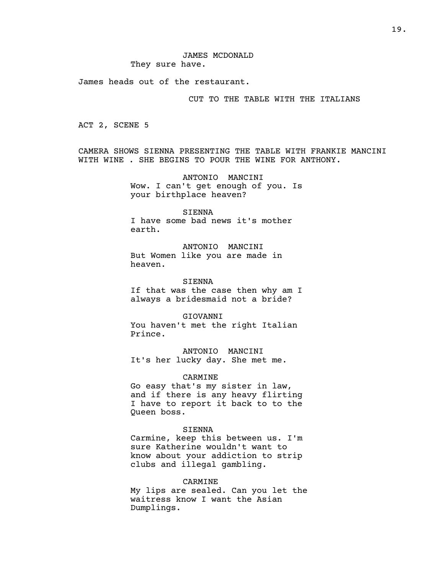James heads out of the restaurant.

## CUT TO THE TABLE WITH THE ITALIANS

ACT 2, SCENE 5

CAMERA SHOWS SIENNA PRESENTING THE TABLE WITH FRANKIE MANCINI WITH WINE . SHE BEGINS TO POUR THE WINE FOR ANTHONY.

> ANTONIO MANCINI Wow. I can't get enough of you. Is your birthplace heaven?

SIENNA I have some bad news it's mother earth.

ANTONIO MANCINI But Women like you are made in heaven.

SIENNA If that was the case then why am I always a bridesmaid not a bride?

GIOVANNI You haven't met the right Italian Prince.

ANTONIO MANCINI It's her lucky day. She met me.

## CARMINE

Go easy that's my sister in law, and if there is any heavy flirting I have to report it back to to the Queen boss.

#### SIENNA

Carmine, keep this between us. I'm sure Katherine wouldn't want to know about your addiction to strip clubs and illegal gambling.

#### CARMINE

My lips are sealed. Can you let the waitress know I want the Asian Dumplings.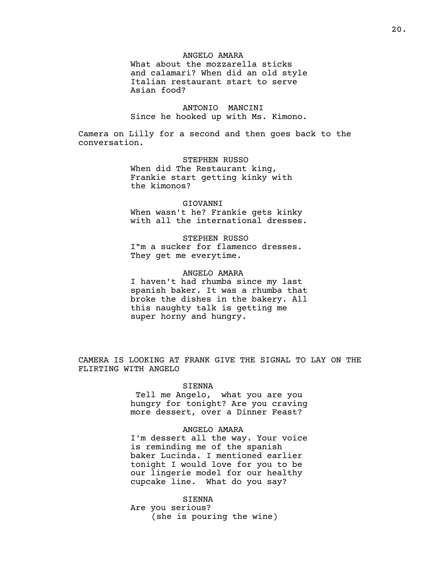## ANGELO AMARA

What about the mozzarella sticks and calamari? When did an old style Italian restaurant start to serve Asian food?

ANTONIO MANCINI Since he hooked up with Ms. Kimono.

Camera on Lilly for a second and then goes back to the conversation.

> STEPHEN RUSSO When did The Restaurant king, Frankie start getting kinky with the kimonos?

## GIOVANNI

When wasn't he? Frankie gets kinky with all the international dresses.

STEPHEN RUSSO

I"m a sucker for flamenco dresses. They get me everytime.

### ANGELO AMARA

I haven't had rhumba since my last spanish baker. It was a rhumba that broke the dishes in the bakery. All this naughty talk is getting me super horny and hungry.

CAMERA IS LOOKING AT FRANK GIVE THE SIGNAL TO LAY ON THE FLIRTING WITH ANGELO

### SIENNA

Tell me Angelo, what you are you hungry for tonight? Are you craving more dessert, over a Dinner Feast?

### ANGELO AMARA

I'm dessert all the way. Your voice is reminding me of the spanish baker Lucinda. I mentioned earlier tonight I would love for you to be our lingerie model for our healthy cupcake line. What do you say?

SIENNA Are you serious? (she is pouring the wine)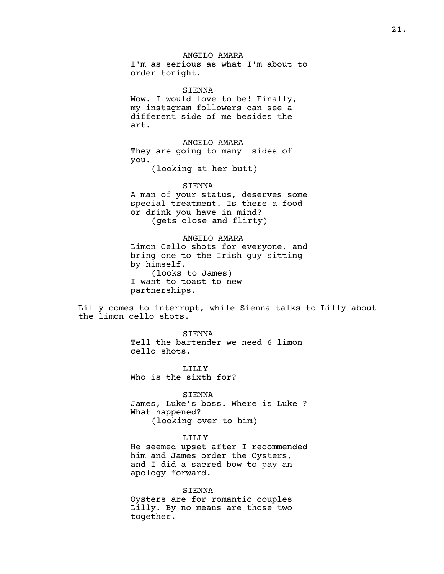## ANGELO AMARA

I'm as serious as what I'm about to order tonight.

SIENNA Wow. I would love to be! Finally, my instagram followers can see a different side of me besides the art.

ANGELO AMARA They are going to many sides of you.

(looking at her butt)

#### SIENNA

A man of your status, deserves some special treatment. Is there a food or drink you have in mind? (gets close and flirty)

## ANGELO AMARA

Limon Cello shots for everyone, and bring one to the Irish guy sitting by himself. (looks to James) I want to toast to new partnerships.

Lilly comes to interrupt, while Sienna talks to Lilly about the limon cello shots.

> SIENNA Tell the bartender we need 6 limon cello shots.

LILLY Who is the sixth for?

SIENNA

James, Luke's boss. Where is Luke ? What happened? (looking over to him)

### LILLY

He seemed upset after I recommended him and James order the Oysters, and I did a sacred bow to pay an apology forward.

#### SIENNA

Oysters are for romantic couples Lilly. By no means are those two together.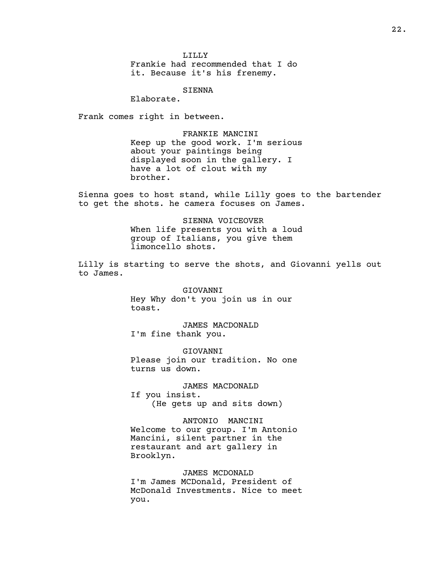LILLY

Frankie had recommended that I do it. Because it's his frenemy.

SIENNA

Elaborate.

Frank comes right in between.

FRANKIE MANCINI Keep up the good work. I'm serious about your paintings being displayed soon in the gallery. I have a lot of clout with my brother.

Sienna goes to host stand, while Lilly goes to the bartender to get the shots. he camera focuses on James.

> SIENNA VOICEOVER When life presents you with a loud group of Italians, you give them limoncello shots.

Lilly is starting to serve the shots, and Giovanni yells out to James.

> GIOVANNI Hey Why don't you join us in our toast.

JAMES MACDONALD I'm fine thank you.

GIOVANNI Please join our tradition. No one turns us down.

JAMES MACDONALD If you insist. (He gets up and sits down)

ANTONIO MANCINI Welcome to our group. I'm Antonio Mancini, silent partner in the restaurant and art gallery in Brooklyn.

JAMES MCDONALD I'm James MCDonald, President of McDonald Investments. Nice to meet you.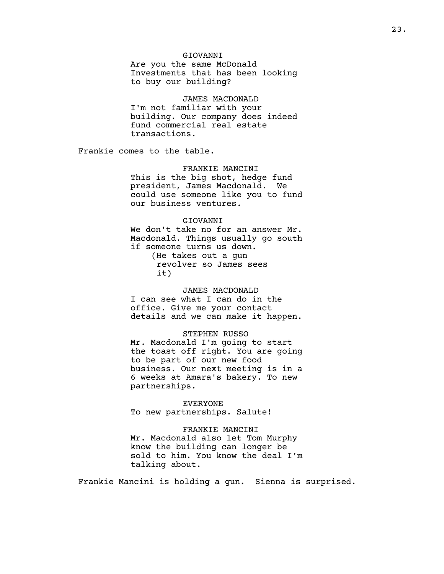## GIOVANNI

Are you the same McDonald Investments that has been looking to buy our building?

### JAMES MACDONALD

I'm not familiar with your building. Our company does indeed fund commercial real estate transactions.

Frankie comes to the table.

### FRANKIE MANCINI

This is the big shot, hedge fund president, James Macdonald. We could use someone like you to fund our business ventures.

## GIOVANNI

We don't take no for an answer Mr. Macdonald. Things usually go south if someone turns us down. (He takes out a gun revolver so James sees it)

## JAMES MACDONALD

I can see what I can do in the office. Give me your contact details and we can make it happen.

### STEPHEN RUSSO

Mr. Macdonald I'm going to start the toast off right. You are going to be part of our new food business. Our next meeting is in a 6 weeks at Amara's bakery. To new partnerships.

EVERYONE To new partnerships. Salute!

### FRANKIE MANCINI

Mr. Macdonald also let Tom Murphy know the building can longer be sold to him. You know the deal I'm talking about.

Frankie Mancini is holding a gun. Sienna is surprised.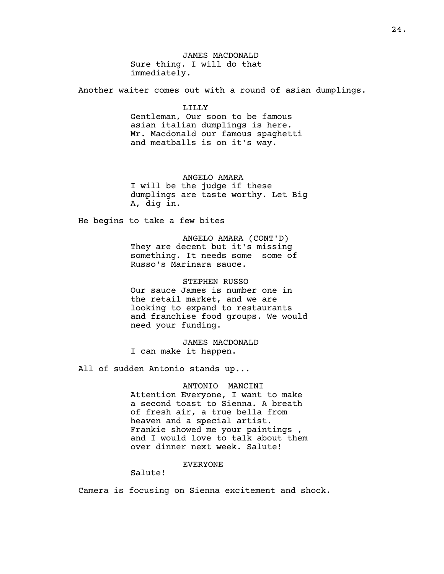JAMES MACDONALD Sure thing. I will do that immediately.

Another waiter comes out with a round of asian dumplings.

## LILLY

Gentleman, Our soon to be famous asian italian dumplings is here. Mr. Macdonald our famous spaghetti and meatballs is on it's way.

## ANGELO AMARA

I will be the judge if these dumplings are taste worthy. Let Big A, dig in.

He begins to take a few bites

ANGELO AMARA (CONT'D) They are decent but it's missing something. It needs some some of Russo's Marinara sauce.

STEPHEN RUSSO Our sauce James is number one in the retail market, and we are looking to expand to restaurants and franchise food groups. We would need your funding.

JAMES MACDONALD I can make it happen.

All of sudden Antonio stands up...

#### ANTONIO MANCINI

Attention Everyone, I want to make a second toast to Sienna. A breath of fresh air, a true bella from heaven and a special artist. Frankie showed me your paintings , and I would love to talk about them over dinner next week. Salute!

## EVERYONE

Salute!

Camera is focusing on Sienna excitement and shock.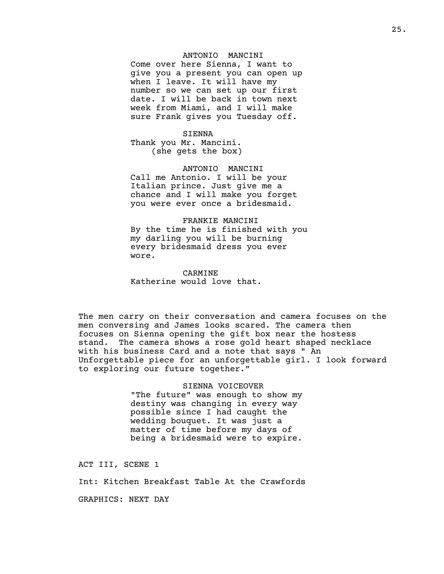### ANTONIO MANCINI

Come over here Sienna, I want to give you a present you can open up when I leave. It will have my number so we can set up our first date. I will be back in town next week from Miami, and I will make sure Frank gives you Tuesday off.

#### SIENNA

Thank you Mr. Mancini. (she gets the box)

### ANTONIO MANCINI

Call me Antonio. I will be your Italian prince. Just give me a chance and I will make you forget you were ever once a bridesmaid.

### FRANKIE MANCINI

By the time he is finished with you my darling you will be burning every bridesmaid dress you ever wore.

CARMINE Katherine would love that.

The men carry on their conversation and camera focuses on the men conversing and James looks scared. The camera then focuses on Sienna opening the gift box near the hostess stand. The camera shows a rose gold heart shaped necklace with his business Card and a note that says " An Unforgettable piece for an unforgettable girl. I look forward to exploring our future together."

> SIENNA VOICEOVER "The future" was enough to show my destiny was changing in every way possible since I had caught the wedding bouquet. It was just a matter of time before my days of being a bridesmaid were to expire.

ACT III, SCENE 1

Int: Kitchen Breakfast Table At the Crawfords

GRAPHICS: NEXT DAY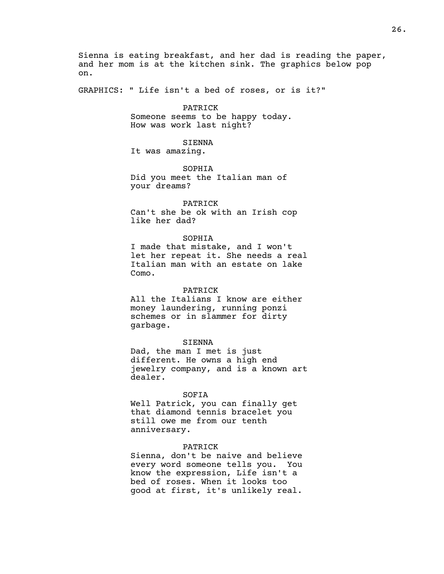Sienna is eating breakfast, and her dad is reading the paper, and her mom is at the kitchen sink. The graphics below pop on.

GRAPHICS: " Life isn't a bed of roses, or is it?"

## PATRICK

Someone seems to be happy today. How was work last night?

#### SIENNA

It was amazing.

## SOPHIA Did you meet the Italian man of your dreams?

#### PATRICK

Can't she be ok with an Irish cop like her dad?

## SOPHIA

I made that mistake, and I won't let her repeat it. She needs a real Italian man with an estate on lake Como.

#### PATRICK

All the Italians I know are either money laundering, running ponzi schemes or in slammer for dirty garbage.

#### SIENNA

Dad, the man I met is just different. He owns a high end jewelry company, and is a known art dealer.

## SOFIA

Well Patrick, you can finally get that diamond tennis bracelet you still owe me from our tenth anniversary.

## PATRICK

Sienna, don't be naive and believe every word someone tells you. You know the expression, Life isn't a bed of roses. When it looks too good at first, it's unlikely real.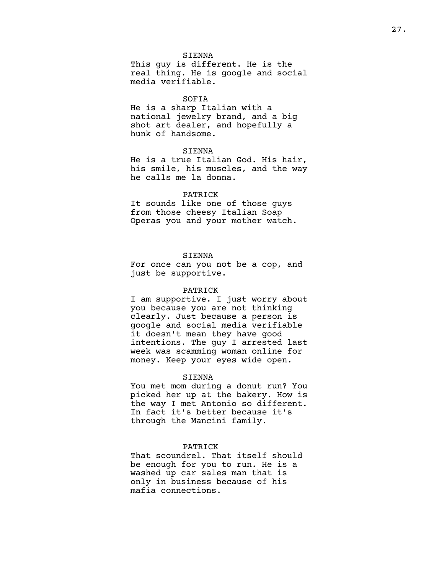#### SIENNA

This guy is different. He is the real thing. He is google and social media verifiable.

### SOFIA

He is a sharp Italian with a national jewelry brand, and a big shot art dealer, and hopefully a hunk of handsome.

## SIENNA

He is a true Italian God. His hair, his smile, his muscles, and the way he calls me la donna.

#### PATRICK

It sounds like one of those guys from those cheesy Italian Soap Operas you and your mother watch.

## SIENNA

For once can you not be a cop, and just be supportive.

#### PATRICK

I am supportive. I just worry about you because you are not thinking clearly. Just because a person is google and social media verifiable it doesn't mean they have good intentions. The guy I arrested last week was scamming woman online for money. Keep your eyes wide open.

#### SIENNA

You met mom during a donut run? You picked her up at the bakery. How is the way I met Antonio so different. In fact it's better because it's through the Mancini family.

## PATRICK

That scoundrel. That itself should be enough for you to run. He is a washed up car sales man that is only in business because of his mafia connections.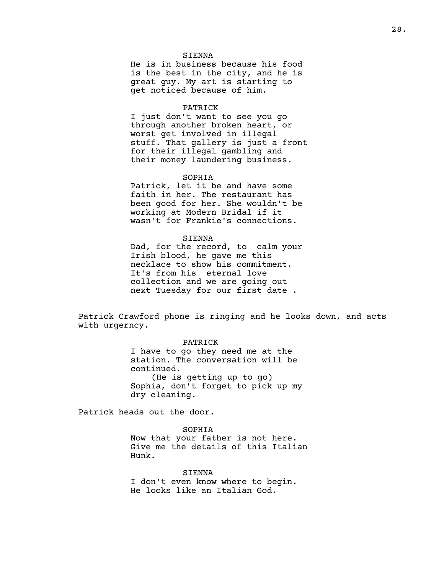### SIENNA

He is in business because his food is the best in the city, and he is great guy. My art is starting to get noticed because of him.

#### PATRICK

I just don't want to see you go through another broken heart, or worst get involved in illegal stuff. That gallery is just a front for their illegal gambling and their money laundering business.

### SOPHIA

Patrick, let it be and have some faith in her. The restaurant has been good for her. She wouldn't be working at Modern Bridal if it wasn't for Frankie's connections.

### SIENNA

Dad, for the record, to calm your Irish blood, he gave me this necklace to show his commitment. It's from his eternal love collection and we are going out next Tuesday for our first date .

Patrick Crawford phone is ringing and he looks down, and acts with urgerncy.

### PATRICK

I have to go they need me at the station. The conversation will be continued. (He is getting up to go) Sophia, don't forget to pick up my dry cleaning.

Patrick heads out the door.

### SOPHIA

Now that your father is not here. Give me the details of this Italian Hunk.

SIENNA I don't even know where to begin. He looks like an Italian God.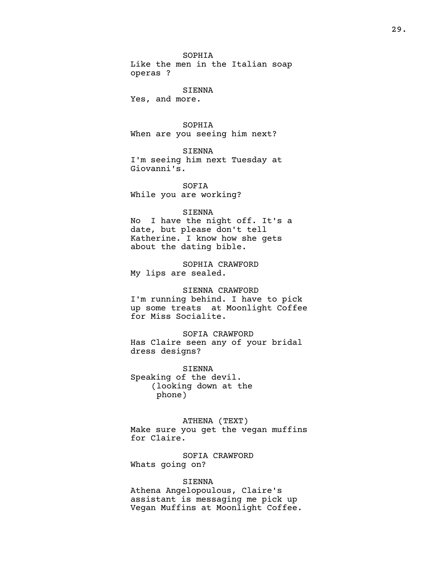SOPHIA

Like the men in the Italian soap operas ?

SIENNA

Yes, and more.

## SOPHIA

When are you seeing him next?

SIENNA

I'm seeing him next Tuesday at Giovanni's.

SOFIA While you are working?

#### SIENNA

No I have the night off. It's a date, but please don't tell Katherine. I know how she gets about the dating bible.

SOPHIA CRAWFORD My lips are sealed.

### SIENNA CRAWFORD

I'm running behind. I have to pick up some treats at Moonlight Coffee for Miss Socialite.

SOFIA CRAWFORD Has Claire seen any of your bridal dress designs?

SIENNA Speaking of the devil. (looking down at the phone)

ATHENA (TEXT) Make sure you get the vegan muffins for Claire.

SOFIA CRAWFORD Whats going on?

## SIENNA

Athena Angelopoulous, Claire's assistant is messaging me pick up Vegan Muffins at Moonlight Coffee.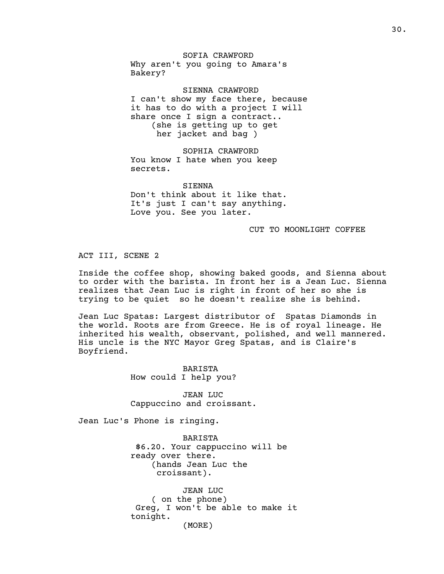SOFIA CRAWFORD Why aren't you going to Amara's Bakery?

SIENNA CRAWFORD I can't show my face there, because it has to do with a project I will share once I sign a contract.. (she is getting up to get her jacket and bag )

SOPHIA CRAWFORD You know I hate when you keep secrets.

SIENNA Don't think about it like that. It's just I can't say anything. Love you. See you later.

#### CUT TO MOONLIGHT COFFEE

## ACT III, SCENE 2

Inside the coffee shop, showing baked goods, and Sienna about to order with the barista. In front her is a Jean Luc. Sienna realizes that Jean Luc is right in front of her so she is trying to be quiet so he doesn't realize she is behind.

Jean Luc Spatas: Largest distributor of Spatas Diamonds in the world. Roots are from Greece. He is of royal lineage. He inherited his wealth, observant, polished, and well mannered. His uncle is the NYC Mayor Greg Spatas, and is Claire's Boyfriend.

> BARISTA How could I help you?

JEAN LUC Cappuccino and croissant.

Jean Luc's Phone is ringing.

BARISTA \$6.20. Your cappuccino will be ready over there. (hands Jean Luc the croissant).

JEAN LUC ( on the phone) Greg, I won't be able to make it tonight. (MORE)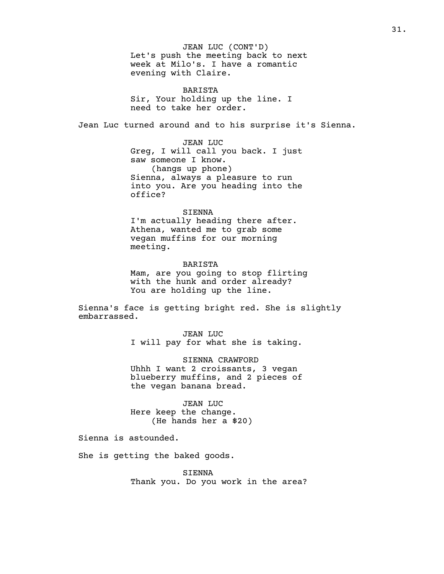JEAN LUC (CONT'D) Let's push the meeting back to next week at Milo's. I have a romantic evening with Claire.

BARISTA Sir, Your holding up the line. I need to take her order.

Jean Luc turned around and to his surprise it's Sienna.

JEAN LUC Greg, I will call you back. I just saw someone I know. (hangs up phone) Sienna, always a pleasure to run into you. Are you heading into the office?

### SIENNA

I'm actually heading there after. Athena, wanted me to grab some vegan muffins for our morning meeting.

BARISTA Mam, are you going to stop flirting with the hunk and order already? You are holding up the line.

Sienna's face is getting bright red. She is slightly embarrassed.

> JEAN LUC I will pay for what she is taking.

> SIENNA CRAWFORD Uhhh I want 2 croissants, 3 vegan blueberry muffins, and 2 pieces of the vegan banana bread.

JEAN LUC Here keep the change. (He hands her a \$20)

Sienna is astounded.

She is getting the baked goods.

SIENNA Thank you. Do you work in the area?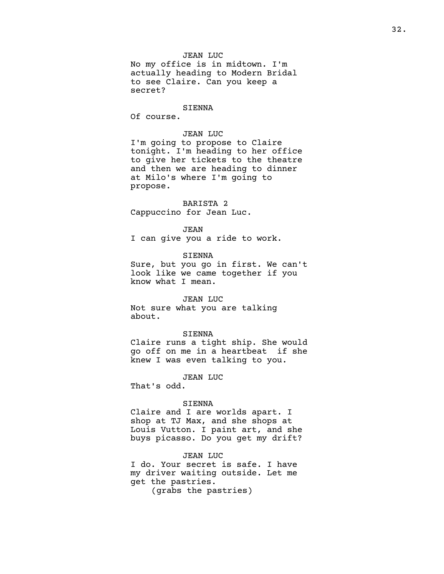## SIENNA

Of course.

## JEAN LUC

I'm going to propose to Claire tonight. I'm heading to her office to give her tickets to the theatre and then we are heading to dinner at Milo's where I'm going to propose.

## BARISTA 2

Cappuccino for Jean Luc.

JEAN

I can give you a ride to work.

SIENNA

Sure, but you go in first. We can't look like we came together if you know what I mean.

## JEAN LUC

Not sure what you are talking about.

#### SIENNA

Claire runs a tight ship. She would go off on me in a heartbeat if she knew I was even talking to you.

JEAN LUC

That's odd.

### SIENNA

Claire and I are worlds apart. I shop at TJ Max, and she shops at Louis Vutton. I paint art, and she buys picasso. Do you get my drift?

### JEAN LUC

I do. Your secret is safe. I have my driver waiting outside. Let me get the pastries.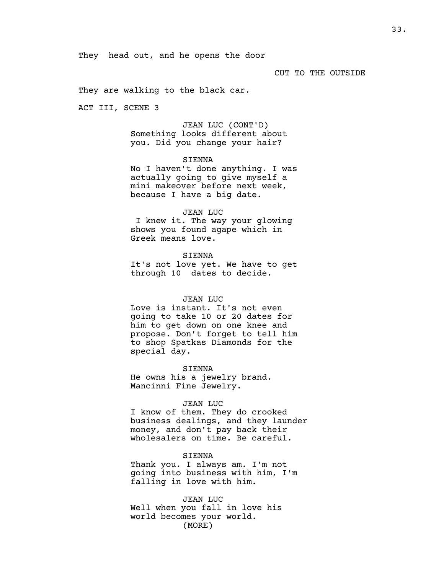### CUT TO THE OUTSIDE

They are walking to the black car.

ACT III, SCENE 3

JEAN LUC (CONT'D) Something looks different about you. Did you change your hair?

## SIENNA

No I haven't done anything. I was actually going to give myself a mini makeover before next week, because I have a big date.

#### JEAN LUC

I knew it. The way your glowing shows you found agape which in Greek means love.

SIENNA It's not love yet. We have to get through 10 dates to decide.

## JEAN LUC

Love is instant. It's not even going to take 10 or 20 dates for him to get down on one knee and propose. Don't forget to tell him to shop Spatkas Diamonds for the special day.

SIENNA

He owns his a jewelry brand. Mancinni Fine Jewelry.

## JEAN LUC

I know of them. They do crooked business dealings, and they launder money, and don't pay back their wholesalers on time. Be careful.

#### SIENNA

Thank you. I always am. I'm not going into business with him, I'm falling in love with him.

JEAN LUC Well when you fall in love his world becomes your world. (MORE)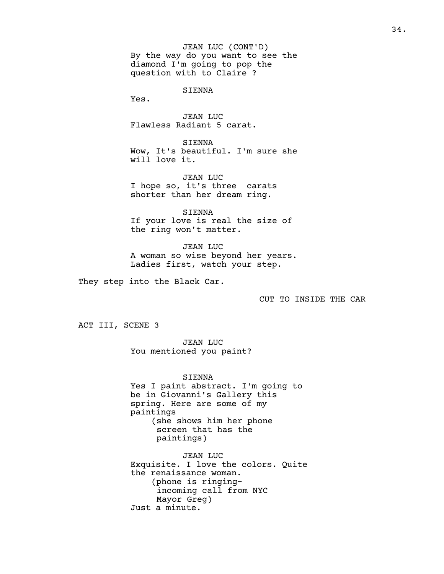JEAN LUC (CONT'D) By the way do you want to see the diamond I'm going to pop the question with to Claire ?

SIENNA

Yes.

JEAN LUC Flawless Radiant 5 carat.

SIENNA Wow, It's beautiful. I'm sure she will love it.

JEAN LUC I hope so, it's three carats shorter than her dream ring.

SIENNA If your love is real the size of the ring won't matter.

JEAN LUC A woman so wise beyond her years. Ladies first, watch your step.

They step into the Black Car.

CUT TO INSIDE THE CAR

ACT III, SCENE 3

JEAN LUC You mentioned you paint?

SIENNA Yes I paint abstract. I'm going to be in Giovanni's Gallery this spring. Here are some of my paintings (she shows him her phone screen that has the paintings)

JEAN LUC Exquisite. I love the colors. Quite the renaissance woman. (phone is ringingincoming call from NYC Mayor Greg) Just a minute.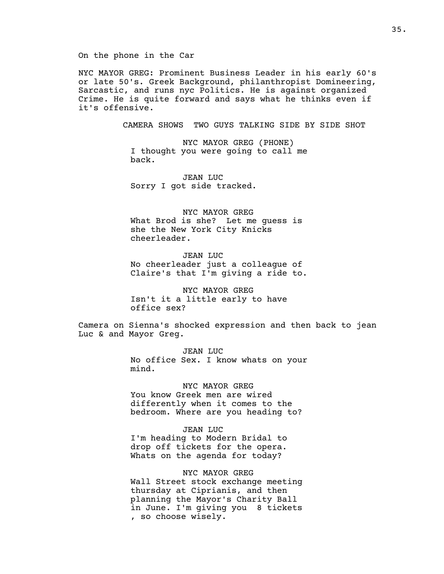NYC MAYOR GREG: Prominent Business Leader in his early 60's or late 50's. Greek Background, philanthropist Domineering, Sarcastic, and runs nyc Politics. He is against organized Crime. He is quite forward and says what he thinks even if it's offensive.

CAMERA SHOWS TWO GUYS TALKING SIDE BY SIDE SHOT

NYC MAYOR GREG (PHONE) I thought you were going to call me back.

JEAN LUC Sorry I got side tracked.

NYC MAYOR GREG What Brod is she? Let me guess is she the New York City Knicks cheerleader.

JEAN LUC No cheerleader just a colleague of Claire's that I'm giving a ride to.

NYC MAYOR GREG Isn't it a little early to have office sex?

Camera on Sienna's shocked expression and then back to jean Luc & and Mayor Greg.

> JEAN LUC No office Sex. I know whats on your mind.

NYC MAYOR GREG You know Greek men are wired differently when it comes to the bedroom. Where are you heading to?

## JEAN LUC

I'm heading to Modern Bridal to drop off tickets for the opera. Whats on the agenda for today?

NYC MAYOR GREG Wall Street stock exchange meeting thursday at Ciprianis, and then planning the Mayor's Charity Ball in June. I'm giving you 8 tickets , so choose wisely.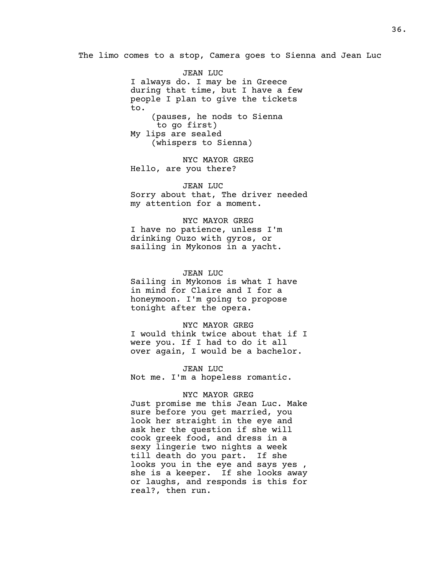The limo comes to a stop, Camera goes to Sienna and Jean Luc

JEAN LUC I always do. I may be in Greece during that time, but I have a few people I plan to give the tickets to. (pauses, he nods to Sienna to go first) My lips are sealed (whispers to Sienna)

NYC MAYOR GREG Hello, are you there?

JEAN LUC Sorry about that, The driver needed my attention for a moment.

NYC MAYOR GREG I have no patience, unless I'm drinking Ouzo with gyros, or sailing in Mykonos in a yacht.

#### JEAN LUC

Sailing in Mykonos is what I have in mind for Claire and I for a honeymoon. I'm going to propose tonight after the opera.

# NYC MAYOR GREG

I would think twice about that if I were you. If I had to do it all over again, I would be a bachelor.

JEAN LUC Not me. I'm a hopeless romantic.

# NYC MAYOR GREG

Just promise me this Jean Luc. Make sure before you get married, you look her straight in the eye and ask her the question if she will cook greek food, and dress in a sexy lingerie two nights a week till death do you part. If she looks you in the eye and says yes , she is a keeper. If she looks away or laughs, and responds is this for real?, then run.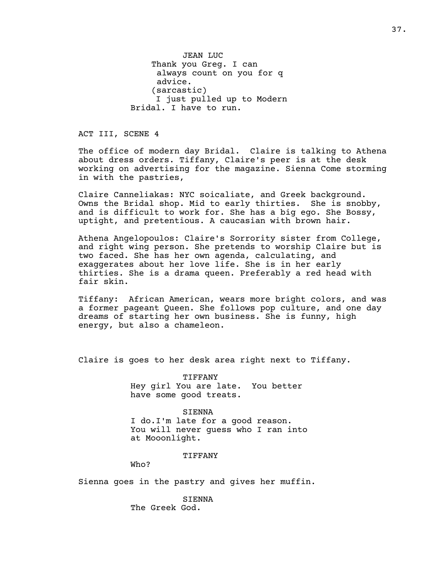JEAN LUC Thank you Greg. I can always count on you for q advice. (sarcastic) I just pulled up to Modern Bridal. I have to run.

ACT III, SCENE 4

The office of modern day Bridal. Claire is talking to Athena about dress orders. Tiffany, Claire's peer is at the desk working on advertising for the magazine. Sienna Come storming in with the pastries,

Claire Canneliakas: NYC soicaliate, and Greek background. Owns the Bridal shop. Mid to early thirties. She is snobby, and is difficult to work for. She has a big ego. She Bossy, uptight, and pretentious. A caucasian with brown hair.

Athena Angelopoulos: Claire's Sorrority sister from College, and right wing person. She pretends to worship Claire but is two faced. She has her own agenda, calculating, and exaggerates about her love life. She is in her early thirties. She is a drama queen. Preferably a red head with fair skin.

Tiffany: African American, wears more bright colors, and was a former pageant Queen. She follows pop culture, and one day dreams of starting her own business. She is funny, high energy, but also a chameleon.

Claire is goes to her desk area right next to Tiffany.

TIFFANY Hey girl You are late. You better have some good treats.

SIENNA I do.I'm late for a good reason. You will never guess who I ran into at Mooonlight.

TIFFANY

Who?

Sienna goes in the pastry and gives her muffin.

SIENNA The Greek God.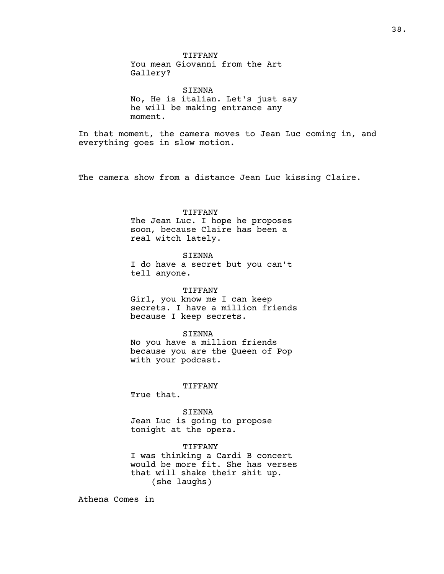TIFFANY You mean Giovanni from the Art Gallery?

SIENNA No, He is italian. Let's just say he will be making entrance any moment.

In that moment, the camera moves to Jean Luc coming in, and everything goes in slow motion.

The camera show from a distance Jean Luc kissing Claire.

### TIFFANY

The Jean Luc. I hope he proposes soon, because Claire has been a real witch lately.

## SIENNA

I do have a secret but you can't tell anyone.

#### TIFFANY

Girl, you know me I can keep secrets. I have a million friends because I keep secrets.

#### SIENNA

No you have a million friends because you are the Queen of Pop with your podcast.

# TIFFANY

True that.

# SIENNA

Jean Luc is going to propose tonight at the opera.

# TIFFANY

I was thinking a Cardi B concert would be more fit. She has verses that will shake their shit up. (she laughs)

Athena Comes in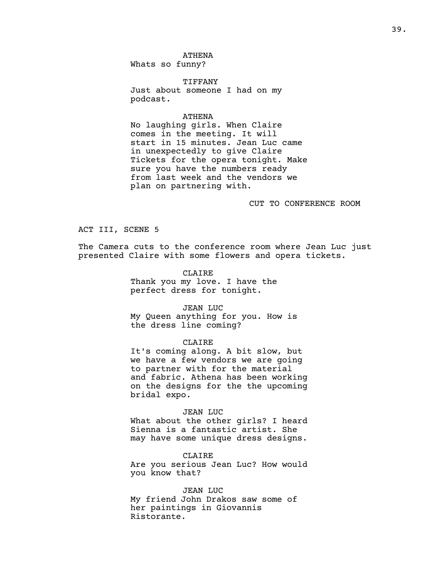ATHENA Whats so funny?

TIFFANY Just about someone I had on my podcast.

# ATHENA

No laughing girls. When Claire comes in the meeting. It will start in 15 minutes. Jean Luc came in unexpectedly to give Claire Tickets for the opera tonight. Make sure you have the numbers ready from last week and the vendors we plan on partnering with.

# CUT TO CONFERENCE ROOM

ACT III, SCENE 5

The Camera cuts to the conference room where Jean Luc just presented Claire with some flowers and opera tickets.

> CLAIRE Thank you my love. I have the perfect dress for tonight.

JEAN LUC My Queen anything for you. How is the dress line coming?

# CLAIRE

It's coming along. A bit slow, but we have a few vendors we are going to partner with for the material and fabric. Athena has been working on the designs for the the upcoming bridal expo.

# JEAN LUC

What about the other girls? I heard Sienna is a fantastic artist. She may have some unique dress designs.

CLAIRE

Are you serious Jean Luc? How would you know that?

JEAN LUC

My friend John Drakos saw some of her paintings in Giovannis Ristorante.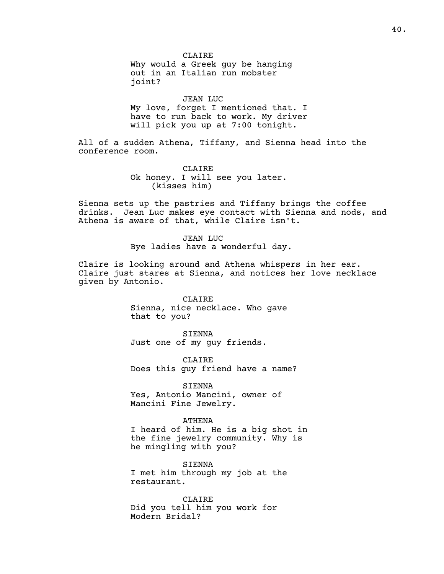CLAIRE Why would a Greek guy be hanging out in an Italian run mobster joint?

JEAN LUC My love, forget I mentioned that. I have to run back to work. My driver will pick you up at 7:00 tonight.

All of a sudden Athena, Tiffany, and Sienna head into the conference room.

> CLAIRE Ok honey. I will see you later. (kisses him)

Sienna sets up the pastries and Tiffany brings the coffee drinks. Jean Luc makes eye contact with Sienna and nods, and Athena is aware of that, while Claire isn't.

> JEAN LUC Bye ladies have a wonderful day.

Claire is looking around and Athena whispers in her ear. Claire just stares at Sienna, and notices her love necklace given by Antonio.

> CLAIRE Sienna, nice necklace. Who gave that to you?

SIENNA Just one of my guy friends.

CLAIRE Does this guy friend have a name?

SIENNA Yes, Antonio Mancini, owner of Mancini Fine Jewelry.

ATHENA I heard of him. He is a big shot in the fine jewelry community. Why is he mingling with you?

SIENNA I met him through my job at the restaurant.

CLAIRE Did you tell him you work for Modern Bridal?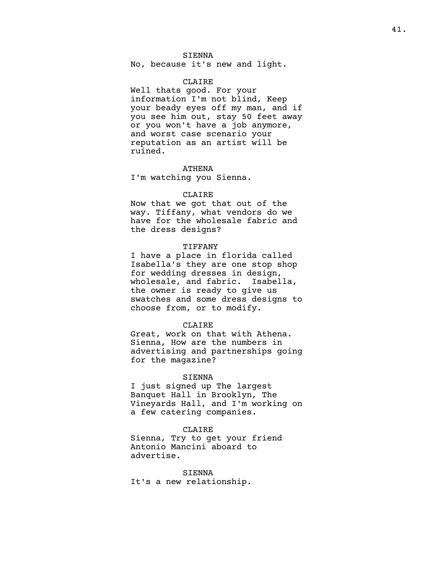# SIENNA

No, because it's new and light.

# CLAIRE

Well thats good. For your information I'm not blind, Keep your beady eyes off my man, and if you see him out, stay 50 feet away or you won't have a job anymore, and worst case scenario your reputation as an artist will be ruined.

## ATHENA

I'm watching you Sienna.

#### CLAIRE

Now that we got that out of the way. Tiffany, what vendors do we have for the wholesale fabric and the dress designs?

# TIFFANY

I have a place in florida called Isabella's they are one stop shop for wedding dresses in design, wholesale, and fabric. Isabella, the owner is ready to give us swatches and some dress designs to choose from, or to modify.

#### CLAIRE

Great, work on that with Athena. Sienna, How are the numbers in advertising and partnerships going for the magazine?

#### SIENNA

I just signed up The largest Banquet Hall in Brooklyn, The Vineyards Hall, and I'm working on a few catering companies.

## CLAIRE

Sienna, Try to get your friend Antonio Mancini aboard to advertise.

SIENNA It's a new relationship.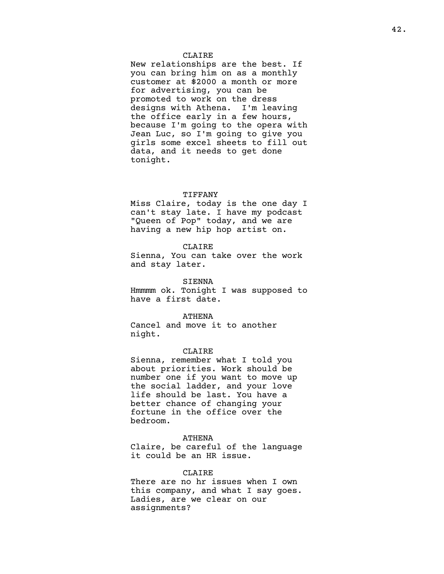## CLAIRE

New relationships are the best. If you can bring him on as a monthly customer at \$2000 a month or more for advertising, you can be promoted to work on the dress designs with Athena. I'm leaving the office early in a few hours, because I'm going to the opera with Jean Luc, so I'm going to give you girls some excel sheets to fill out data, and it needs to get done tonight.

#### TIFFANY

Miss Claire, today is the one day I can't stay late. I have my podcast "Queen of Pop" today, and we are having a new hip hop artist on.

# CLAIRE

Sienna, You can take over the work and stay later.

#### SIENNA

Hmmmm ok. Tonight I was supposed to have a first date.

#### ATHENA

Cancel and move it to another night.

#### CLAIRE

Sienna, remember what I told you about priorities. Work should be number one if you want to move up the social ladder, and your love life should be last. You have a better chance of changing your fortune in the office over the bedroom.

# ATHENA

Claire, be careful of the language it could be an HR issue.

# CLAIRE

There are no hr issues when I own this company, and what I say goes. Ladies, are we clear on our assignments?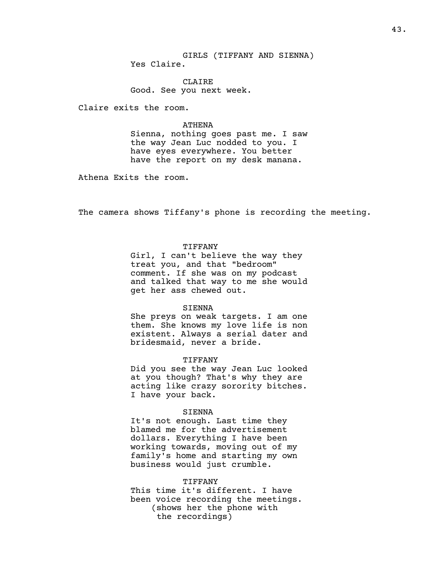GIRLS (TIFFANY AND SIENNA) Yes Claire.

CLAIRE Good. See you next week.

Claire exits the room.

# ATHENA

Sienna, nothing goes past me. I saw the way Jean Luc nodded to you. I have eyes everywhere. You better have the report on my desk manana.

Athena Exits the room.

The camera shows Tiffany's phone is recording the meeting.

# TIFFANY

Girl, I can't believe the way they treat you, and that "bedroom" comment. If she was on my podcast and talked that way to me she would get her ass chewed out.

#### SIENNA

She preys on weak targets. I am one them. She knows my love life is non existent. Always a serial dater and bridesmaid, never a bride.

#### TIFFANY

Did you see the way Jean Luc looked at you though? That's why they are acting like crazy sorority bitches. I have your back.

# SIENNA

It's not enough. Last time they blamed me for the advertisement dollars. Everything I have been working towards, moving out of my family's home and starting my own business would just crumble.

#### TIFFANY

This time it's different. I have been voice recording the meetings. (shows her the phone with the recordings)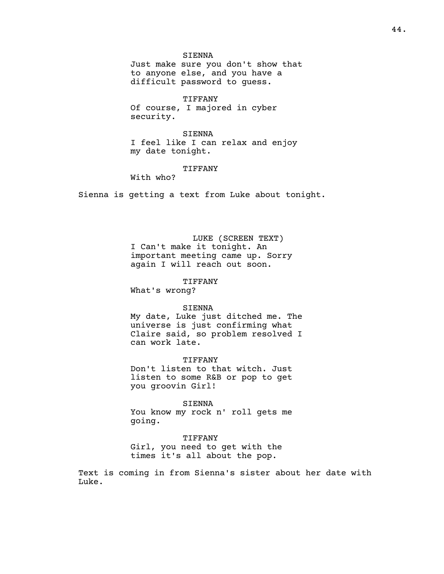SIENNA Just make sure you don't show that to anyone else, and you have a difficult password to guess.

TIFFANY Of course, I majored in cyber security.

SIENNA I feel like I can relax and enjoy my date tonight.

# TIFFANY

With who?

Sienna is getting a text from Luke about tonight.

LUKE (SCREEN TEXT) I Can't make it tonight. An important meeting came up. Sorry again I will reach out soon.

# TIFFANY

What's wrong?

#### SIENNA

My date, Luke just ditched me. The universe is just confirming what Claire said, so problem resolved I can work late.

TIFFANY

Don't listen to that witch. Just listen to some R&B or pop to get you groovin Girl!

SIENNA You know my rock n' roll gets me going.

# TIFFANY

Girl, you need to get with the times it's all about the pop.

Text is coming in from Sienna's sister about her date with Luke.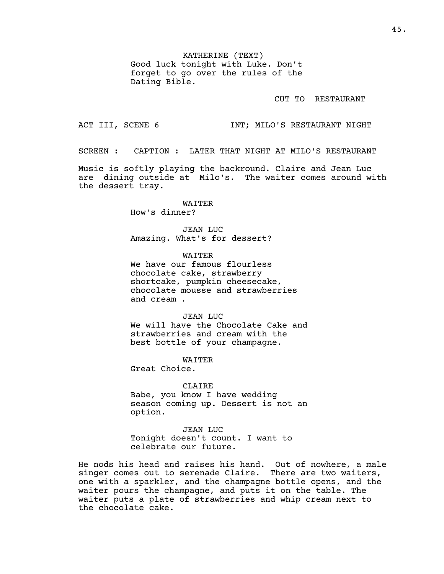KATHERINE (TEXT) Good luck tonight with Luke. Don't forget to go over the rules of the Dating Bible.

CUT TO RESTAURANT

ACT III, SCENE 6 TNT; MILO'S RESTAURANT NIGHT

SCREEN : CAPTION : LATER THAT NIGHT AT MILO'S RESTAURANT

Music is softly playing the backround. Claire and Jean Luc are dining outside at Milo's. The waiter comes around with the dessert tray.

> WAITER How's dinner?

JEAN LUC Amazing. What's for dessert?

WAITER We have our famous flourless chocolate cake, strawberry shortcake, pumpkin cheesecake, chocolate mousse and strawberries and cream .

JEAN LUC We will have the Chocolate Cake and

strawberries and cream with the best bottle of your champagne.

WAITER Great Choice.

option.

CLAIRE Babe, you know I have wedding season coming up. Dessert is not an

JEAN LUC Tonight doesn't count. I want to celebrate our future.

He nods his head and raises his hand. Out of nowhere, a male singer comes out to serenade Claire. There are two waiters, one with a sparkler, and the champagne bottle opens, and the waiter pours the champagne, and puts it on the table. The waiter puts a plate of strawberries and whip cream next to the chocolate cake.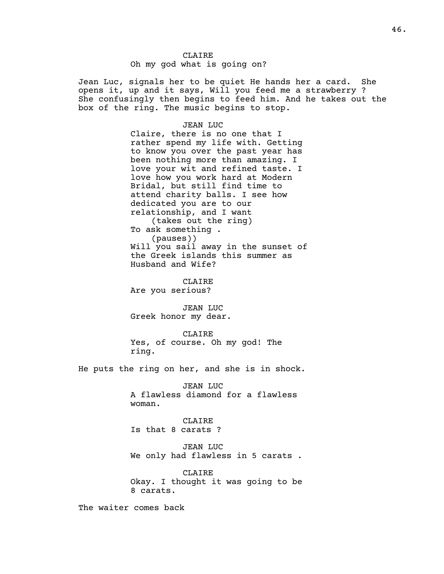Jean Luc, signals her to be quiet He hands her a card. She opens it, up and it says, Will you feed me a strawberry ? She confusingly then begins to feed him. And he takes out the box of the ring. The music begins to stop.

#### JEAN LUC

Claire, there is no one that I rather spend my life with. Getting to know you over the past year has been nothing more than amazing. I love your wit and refined taste. I love how you work hard at Modern Bridal, but still find time to attend charity balls. I see how dedicated you are to our relationship, and I want (takes out the ring) To ask something . (pauses)) Will you sail away in the sunset of the Greek islands this summer as Husband and Wife?

CLAIRE

Are you serious?

JEAN LUC Greek honor my dear.

CLAIRE

Yes, of course. Oh my god! The ring.

He puts the ring on her, and she is in shock.

JEAN LUC A flawless diamond for a flawless woman.

CLAIRE Is that 8 carats ?

JEAN LUC We only had flawless in 5 carats .

CLAIRE Okay. I thought it was going to be 8 carats.

The waiter comes back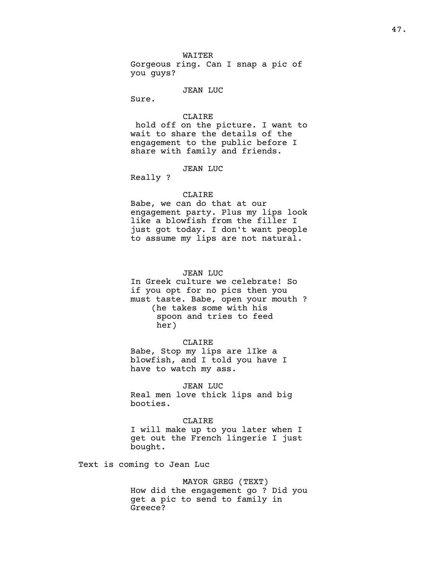WAITER Gorgeous ring. Can I snap a pic of you guys?

#### JEAN LUC

Sure.

## CLAIRE

hold off on the picture. I want to wait to share the details of the engagement to the public before I share with family and friends.

# JEAN LUC

Really ?

## CLAIRE

Babe, we can do that at our engagement party. Plus my lips look like a blowfish from the filler I just got today. I don't want people to assume my lips are not natural.

# JEAN LUC

In Greek culture we celebrate! So if you opt for no pics then you must taste. Babe, open your mouth ? (he takes some with his spoon and tries to feed her)

# CLAIRE

Babe, Stop my lips are lIke a blowfish, and I told you have I have to watch my ass.

### JEAN LUC

Real men love thick lips and big booties.

# CLAIRE

I will make up to you later when I get out the French lingerie I just bought.

Text is coming to Jean Luc

# MAYOR GREG (TEXT) How did the engagement go ? Did you get a pic to send to family in Greece?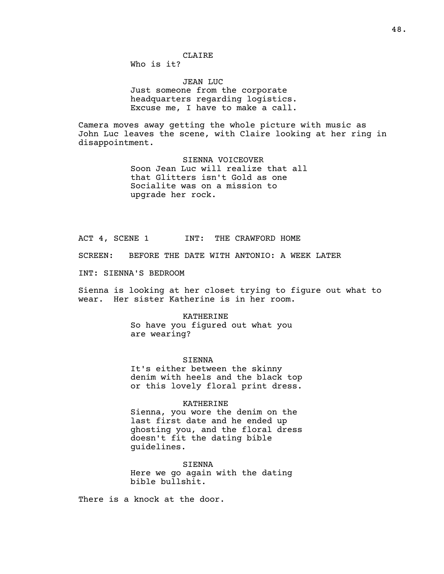# CLAIRE

Who is it?

JEAN LUC Just someone from the corporate headquarters regarding logistics. Excuse me, I have to make a call.

Camera moves away getting the whole picture with music as John Luc leaves the scene, with Claire looking at her ring in disappointment.

> SIENNA VOICEOVER Soon Jean Luc will realize that all that Glitters isn't Gold as one Socialite was on a mission to upgrade her rock.

ACT 4, SCENE 1 INT: THE CRAWFORD HOME

SCREEN: BEFORE THE DATE WITH ANTONIO: A WEEK LATER

INT: SIENNA'S BEDROOM

Sienna is looking at her closet trying to figure out what to wear. Her sister Katherine is in her room.

KATHERINE

So have you figured out what you are wearing?

SIENNA

It's either between the skinny denim with heels and the black top or this lovely floral print dress.

KATHERINE

Sienna, you wore the denim on the last first date and he ended up ghosting you, and the floral dress doesn't fit the dating bible guidelines.

SIENNA Here we go again with the dating bible bullshit.

There is a knock at the door.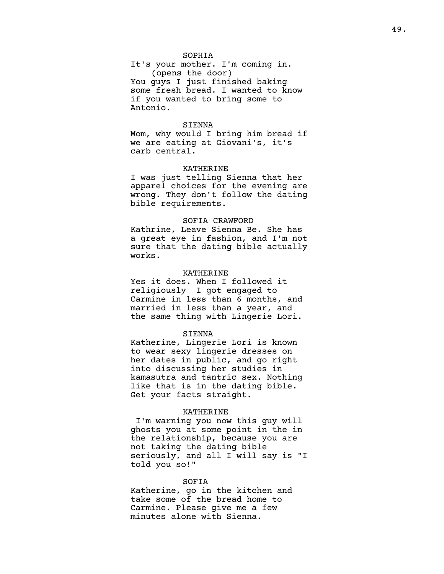# SOPHIA

It's your mother. I'm coming in. (opens the door) You guys I just finished baking some fresh bread. I wanted to know if you wanted to bring some to Antonio.

# SIENNA

Mom, why would I bring him bread if we are eating at Giovani's, it's carb central.

#### KATHERINE

I was just telling Sienna that her apparel choices for the evening are wrong. They don't follow the dating bible requirements.

#### SOFIA CRAWFORD

Kathrine, Leave Sienna Be. She has a great eye in fashion, and I'm not sure that the dating bible actually works.

## KATHERINE

Yes it does. When I followed it religiously I got engaged to Carmine in less than 6 months, and married in less than a year, and the same thing with Lingerie Lori.

## SIENNA

Katherine, Lingerie Lori is known to wear sexy lingerie dresses on her dates in public, and go right into discussing her studies in kamasutra and tantric sex. Nothing like that is in the dating bible. Get your facts straight.

# KATHERINE

I'm warning you now this guy will ghosts you at some point in the in the relationship, because you are not taking the dating bible seriously, and all I will say is "I told you so!"

# SOFIA

Katherine, go in the kitchen and take some of the bread home to Carmine. Please give me a few minutes alone with Sienna.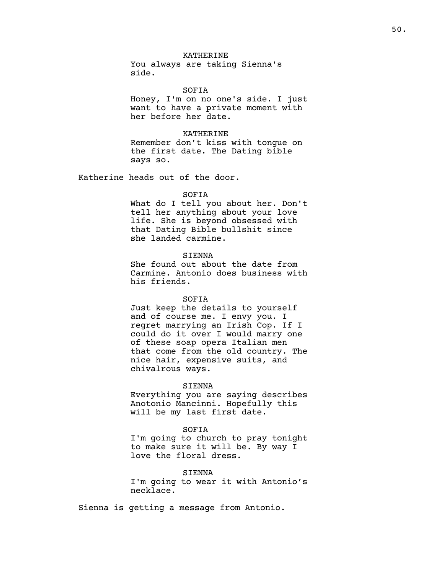# KATHERINE

You always are taking Sienna's side.

SOFIA

Honey, I'm on no one's side. I just want to have a private moment with her before her date.

# KATHERINE

Remember don't kiss with tongue on the first date. The Dating bible says so.

Katherine heads out of the door.

#### SOFIA

What do I tell you about her. Don't tell her anything about your love life. She is beyond obsessed with that Dating Bible bullshit since she landed carmine.

# SIENNA

She found out about the date from Carmine. Antonio does business with his friends.

#### SOFIA

Just keep the details to yourself and of course me. I envy you. I regret marrying an Irish Cop. If I could do it over I would marry one of these soap opera Italian men that come from the old country. The nice hair, expensive suits, and chivalrous ways.

## SIENNA

Everything you are saying describes Anotonio Mancinni. Hopefully this will be my last first date.

# SOFIA

I'm going to church to pray tonight to make sure it will be. By way I love the floral dress.

#### SIENNA

I'm going to wear it with Antonio's necklace.

Sienna is getting a message from Antonio.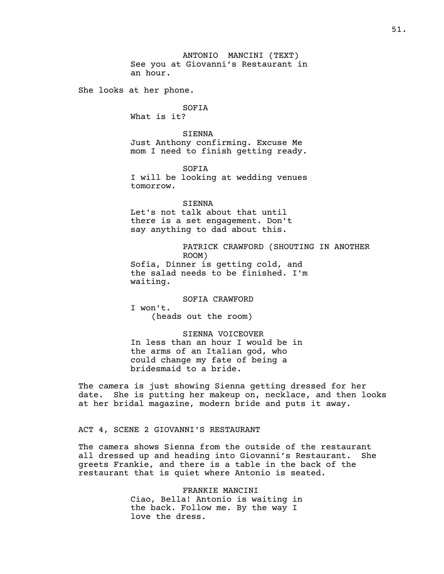ANTONIO MANCINI (TEXT) See you at Giovanni's Restaurant in an hour.

She looks at her phone.

SOFIA What is it?

SIENNA Just Anthony confirming. Excuse Me mom I need to finish getting ready.

SOFIA I will be looking at wedding venues tomorrow.

SIENNA Let's not talk about that until there is a set engagement. Don't say anything to dad about this.

> PATRICK CRAWFORD (SHOUTING IN ANOTHER ROOM)

Sofia, Dinner is getting cold, and the salad needs to be finished. I'm waiting.

SOFIA CRAWFORD

I won't. (heads out the room)

# SIENNA VOICEOVER

In less than an hour I would be in the arms of an Italian god, who could change my fate of being a bridesmaid to a bride.

The camera is just showing Sienna getting dressed for her date. She is putting her makeup on, necklace, and then looks at her bridal magazine, modern bride and puts it away.

# ACT 4, SCENE 2 GIOVANNI'S RESTAURANT

The camera shows Sienna from the outside of the restaurant all dressed up and heading into Giovanni's Restaurant. She greets Frankie, and there is a table in the back of the restaurant that is quiet where Antonio is seated.

> FRANKIE MANCINI Ciao, Bella! Antonio is waiting in the back. Follow me. By the way I love the dress.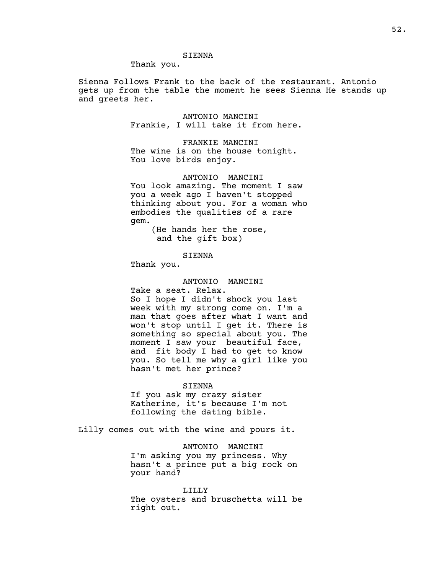# SIENNA

Thank you.

Sienna Follows Frank to the back of the restaurant. Antonio gets up from the table the moment he sees Sienna He stands up and greets her.

> ANTONIO MANCINI Frankie, I will take it from here.

FRANKIE MANCINI The wine is on the house tonight. You love birds enjoy.

ANTONIO MANCINI You look amazing. The moment I saw you a week ago I haven't stopped thinking about you. For a woman who embodies the qualities of a rare gem.

> (He hands her the rose, and the gift box)

> > SIENNA

Thank you.

# ANTONIO MANCINI

Take a seat. Relax. So I hope I didn't shock you last week with my strong come on. I'm a man that goes after what I want and won't stop until I get it. There is something so special about you. The moment I saw your beautiful face, and fit body I had to get to know you. So tell me why a girl like you hasn't met her prince?

#### SIENNA

If you ask my crazy sister Katherine, it's because I'm not following the dating bible.

Lilly comes out with the wine and pours it.

ANTONIO MANCINI I'm asking you my princess. Why hasn't a prince put a big rock on your hand?

## LILLY

The oysters and bruschetta will be right out.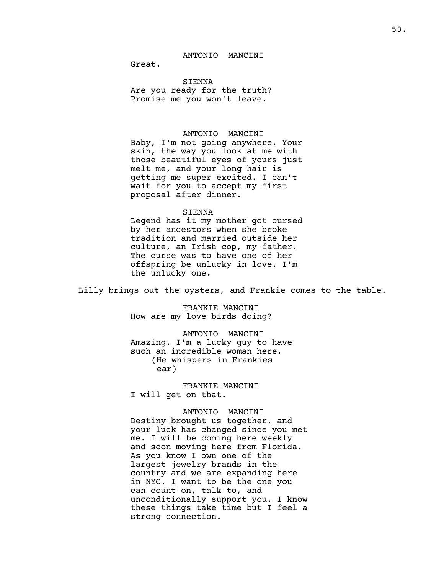Great.

# SIENNA

Are you ready for the truth? Promise me you won't leave.

# ANTONIO MANCINI

Baby, I'm not going anywhere. Your skin, the way you look at me with those beautiful eyes of yours just melt me, and your long hair is getting me super excited. I can't wait for you to accept my first proposal after dinner.

#### SIENNA

Legend has it my mother got cursed by her ancestors when she broke tradition and married outside her culture, an Irish cop, my father. The curse was to have one of her offspring be unlucky in love. I'm the unlucky one.

Lilly brings out the oysters, and Frankie comes to the table.

FRANKIE MANCINI How are my love birds doing?

ANTONIO MANCINI Amazing. I'm a lucky guy to have such an incredible woman here. (He whispers in Frankies ear)

# FRANKIE MANCINI I will get on that.

# ANTONIO MANCINI

Destiny brought us together, and your luck has changed since you met me. I will be coming here weekly and soon moving here from Florida. As you know I own one of the largest jewelry brands in the country and we are expanding here in NYC. I want to be the one you can count on, talk to, and unconditionally support you. I know these things take time but I feel a strong connection.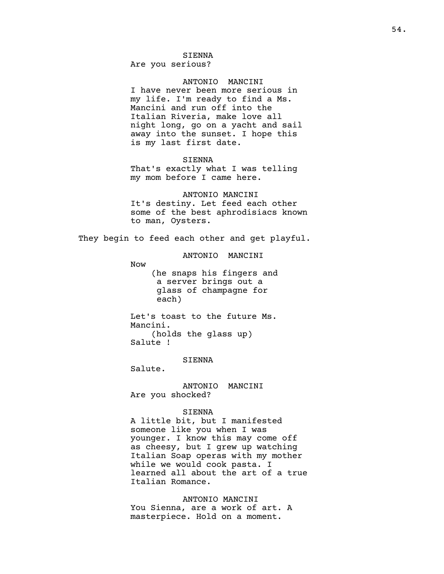# SIENNA

Are you serious?

# ANTONIO MANCINI

I have never been more serious in my life. I'm ready to find a Ms. Mancini and run off into the Italian Riveria, make love all night long, go on a yacht and sail away into the sunset. I hope this is my last first date.

# SIENNA

That's exactly what I was telling my mom before I came here.

# ANTONIO MANCINI It's destiny. Let feed each other some of the best aphrodisiacs known to man, Oysters.

They begin to feed each other and get playful.

# ANTONIO MANCINI

Now

(he snaps his fingers and a server brings out a glass of champagne for each)

Let's toast to the future Ms. Mancini. (holds the glass up) Salute !

SIENNA

Salute.

ANTONIO MANCINI Are you shocked?

# SIENNA

A little bit, but I manifested someone like you when I was younger. I know this may come off as cheesy, but I grew up watching Italian Soap operas with my mother while we would cook pasta. I learned all about the art of a true Italian Romance.

#### ANTONIO MANCINI

You Sienna, are a work of art. A masterpiece. Hold on a moment.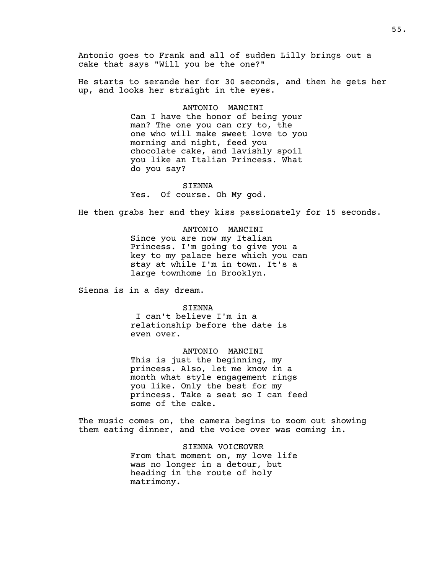Antonio goes to Frank and all of sudden Lilly brings out a cake that says "Will you be the one?"

He starts to serande her for 30 seconds, and then he gets her up, and looks her straight in the eyes.

> ANTONIO MANCINI Can I have the honor of being your man? The one you can cry to, the one who will make sweet love to you morning and night, feed you chocolate cake, and lavishly spoil you like an Italian Princess. What do you say?

SIENNA Yes. Of course. Oh My god.

He then grabs her and they kiss passionately for 15 seconds.

ANTONIO MANCINI Since you are now my Italian Princess. I'm going to give you a key to my palace here which you can stay at while I'm in town. It's a large townhome in Brooklyn.

Sienna is in a day dream.

SIENNA

I can't believe I'm in a relationship before the date is even over.

ANTONIO MANCINI This is just the beginning, my princess. Also, let me know in a month what style engagement rings you like. Only the best for my princess. Take a seat so I can feed some of the cake.

The music comes on, the camera begins to zoom out showing them eating dinner, and the voice over was coming in.

> SIENNA VOICEOVER From that moment on, my love life was no longer in a detour, but heading in the route of holy matrimony.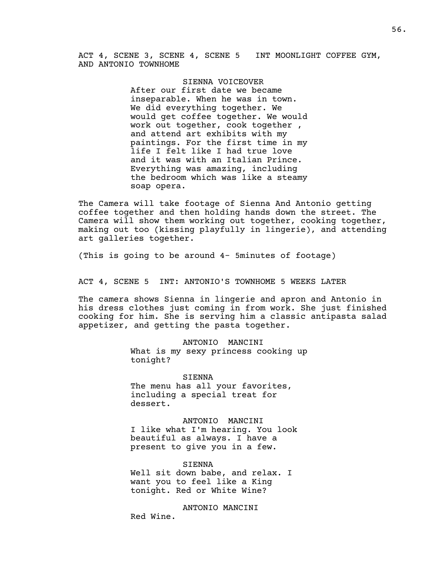ACT 4, SCENE 3, SCENE 4, SCENE 5 INT MOONLIGHT COFFEE GYM, AND ANTONIO TOWNHOME

# SIENNA VOICEOVER

After our first date we became inseparable. When he was in town. We did everything together. We would get coffee together. We would work out together, cook together , and attend art exhibits with my paintings. For the first time in my life I felt like I had true love and it was with an Italian Prince. Everything was amazing, including the bedroom which was like a steamy soap opera.

The Camera will take footage of Sienna And Antonio getting coffee together and then holding hands down the street. The Camera will show them working out together, cooking together, making out too (kissing playfully in lingerie), and attending art galleries together.

(This is going to be around 4- 5minutes of footage)

ACT 4, SCENE 5 INT: ANTONIO'S TOWNHOME 5 WEEKS LATER

The camera shows Sienna in lingerie and apron and Antonio in his dress clothes just coming in from work. She just finished cooking for him. She is serving him a classic antipasta salad appetizer, and getting the pasta together.

> ANTONIO MANCINI What is my sexy princess cooking up tonight?

SIENNA The menu has all your favorites, including a special treat for dessert.

ANTONIO MANCINI I like what I'm hearing. You look beautiful as always. I have a present to give you in a few.

SIENNA

Well sit down babe, and relax. I want you to feel like a King tonight. Red or White Wine?

ANTONIO MANCINI Red Wine.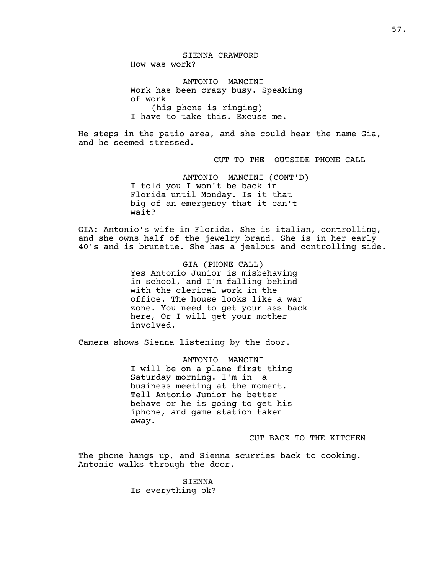SIENNA CRAWFORD How was work?

ANTONIO MANCINI Work has been crazy busy. Speaking of work (his phone is ringing) I have to take this. Excuse me.

He steps in the patio area, and she could hear the name Gia, and he seemed stressed.

CUT TO THE OUTSIDE PHONE CALL

ANTONIO MANCINI (CONT'D) I told you I won't be back in Florida until Monday. Is it that big of an emergency that it can't wait?

GIA: Antonio's wife in Florida. She is italian, controlling, and she owns half of the jewelry brand. She is in her early 40's and is brunette. She has a jealous and controlling side.

> GIA (PHONE CALL) Yes Antonio Junior is misbehaving in school, and I'm falling behind with the clerical work in the office. The house looks like a war zone. You need to get your ass back here, Or I will get your mother involved.

Camera shows Sienna listening by the door.

ANTONIO MANCINI I will be on a plane first thing Saturday morning. I'm in a business meeting at the moment. Tell Antonio Junior he better behave or he is going to get his iphone, and game station taken away.

CUT BACK TO THE KITCHEN

The phone hangs up, and Sienna scurries back to cooking. Antonio walks through the door.

> SIENNA Is everything ok?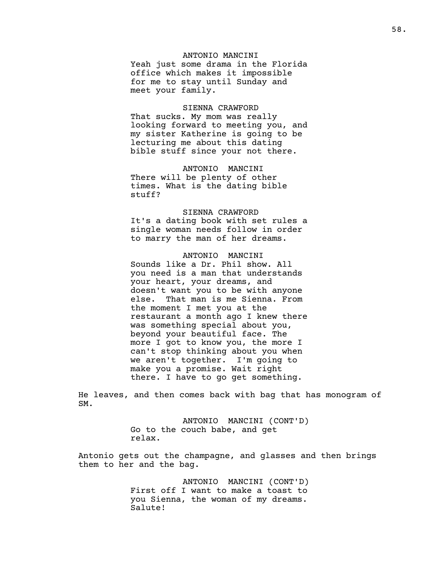# ANTONIO MANCINI

Yeah just some drama in the Florida office which makes it impossible for me to stay until Sunday and meet your family.

# SIENNA CRAWFORD

That sucks. My mom was really looking forward to meeting you, and my sister Katherine is going to be lecturing me about this dating bible stuff since your not there.

## ANTONIO MANCINI

There will be plenty of other times. What is the dating bible stuff?

#### SIENNA CRAWFORD

It's a dating book with set rules a single woman needs follow in order to marry the man of her dreams.

# ANTONIO MANCINI

Sounds like a Dr. Phil show. All you need is a man that understands your heart, your dreams, and doesn't want you to be with anyone else. That man is me Sienna. From the moment I met you at the restaurant a month ago I knew there was something special about you, beyond your beautiful face. The more I got to know you, the more I can't stop thinking about you when we aren't together. I'm going to make you a promise. Wait right there. I have to go get something.

He leaves, and then comes back with bag that has monogram of SM.

> ANTONIO MANCINI (CONT'D) Go to the couch babe, and get relax.

Antonio gets out the champagne, and glasses and then brings them to her and the bag.

> ANTONIO MANCINI (CONT'D) First off I want to make a toast to you Sienna, the woman of my dreams. Salute!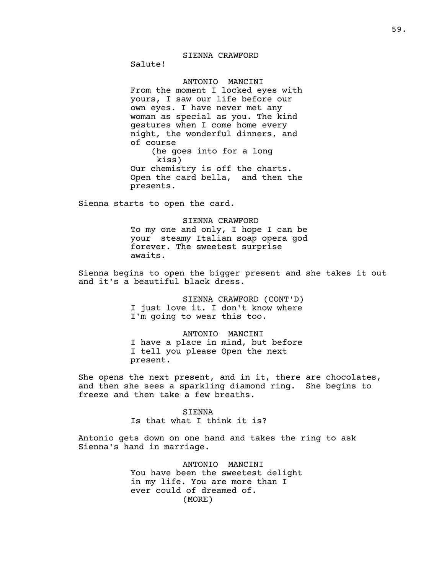# SIENNA CRAWFORD

Salute!

# ANTONIO MANCINI

From the moment I locked eyes with yours, I saw our life before our own eyes. I have never met any woman as special as you. The kind gestures when I come home every night, the wonderful dinners, and of course (he goes into for a long kiss) Our chemistry is off the charts. Open the card bella, and then the

Sienna starts to open the card.

presents.

SIENNA CRAWFORD To my one and only, I hope I can be your steamy Italian soap opera god forever. The sweetest surprise awaits.

Sienna begins to open the bigger present and she takes it out and it's a beautiful black dress.

> SIENNA CRAWFORD (CONT'D) I just love it. I don't know where I'm going to wear this too.

# ANTONIO MANCINI I have a place in mind, but before I tell you please Open the next present.

She opens the next present, and in it, there are chocolates, and then she sees a sparkling diamond ring. She begins to freeze and then take a few breaths.

> SIENNA Is that what I think it is?

Antonio gets down on one hand and takes the ring to ask Sienna's hand in marriage.

> ANTONIO MANCINI You have been the sweetest delight in my life. You are more than I ever could of dreamed of. (MORE)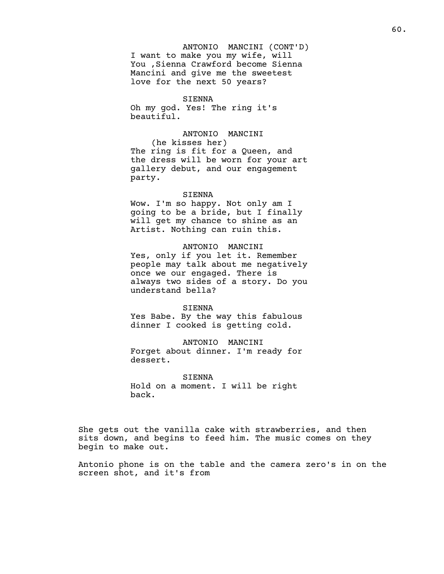ANTONIO MANCINI (CONT'D) I want to make you my wife, will You ,Sienna Crawford become Sienna Mancini and give me the sweetest love for the next 50 years?

# SIENNA

Oh my god. Yes! The ring it's beautiful.

# ANTONIO MANCINI

(he kisses her) The ring is fit for a Queen, and the dress will be worn for your art gallery debut, and our engagement party.

#### SIENNA

Wow. I'm so happy. Not only am I going to be a bride, but I finally will get my chance to shine as an Artist. Nothing can ruin this.

# ANTONIO MANCINI

Yes, only if you let it. Remember people may talk about me negatively once we our engaged. There is always two sides of a story. Do you understand bella?

#### SIENNA

Yes Babe. By the way this fabulous dinner I cooked is getting cold.

ANTONIO MANCINI Forget about dinner. I'm ready for dessert.

SIENNA Hold on a moment. I will be right back.

She gets out the vanilla cake with strawberries, and then sits down, and begins to feed him. The music comes on they begin to make out.

Antonio phone is on the table and the camera zero's in on the screen shot, and it's from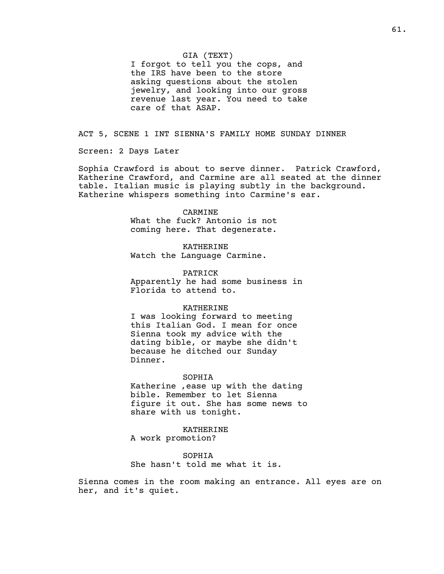# GIA (TEXT)

I forgot to tell you the cops, and the IRS have been to the store asking questions about the stolen jewelry, and looking into our gross revenue last year. You need to take care of that ASAP.

# ACT 5, SCENE 1 INT SIENNA'S FAMILY HOME SUNDAY DINNER

Screen: 2 Days Later

Sophia Crawford is about to serve dinner. Patrick Crawford, Katherine Crawford, and Carmine are all seated at the dinner table. Italian music is playing subtly in the background. Katherine whispers something into Carmine's ear.

#### CARMINE

What the fuck? Antonio is not coming here. That degenerate.

KATHERINE Watch the Language Carmine.

PATRICK Apparently he had some business in Florida to attend to.

## KATHERINE

I was looking forward to meeting this Italian God. I mean for once Sienna took my advice with the dating bible, or maybe she didn't because he ditched our Sunday Dinner.

#### SOPHIA

Katherine ,ease up with the dating bible. Remember to let Sienna figure it out. She has some news to share with us tonight.

KATHERINE A work promotion?

SOPHIA She hasn't told me what it is.

Sienna comes in the room making an entrance. All eyes are on her, and it's quiet.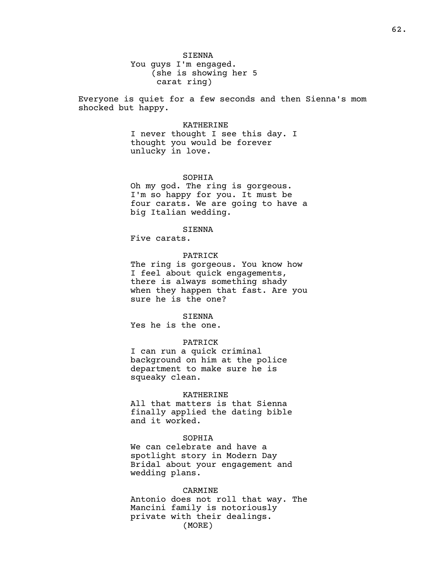You guys I'm engaged. (she is showing her 5 carat ring)

Everyone is quiet for a few seconds and then Sienna's mom shocked but happy.

## KATHERINE

I never thought I see this day. I thought you would be forever unlucky in love.

# SOPHIA

Oh my god. The ring is gorgeous. I'm so happy for you. It must be four carats. We are going to have a big Italian wedding.

### SIENNA

Five carats.

## PATRICK

The ring is gorgeous. You know how I feel about quick engagements, there is always something shady when they happen that fast. Are you sure he is the one?

#### SIENNA

Yes he is the one.

## PATRICK

I can run a quick criminal background on him at the police department to make sure he is squeaky clean.

#### KATHERINE

All that matters is that Sienna finally applied the dating bible and it worked.

# SOPHIA

We can celebrate and have a spotlight story in Modern Day Bridal about your engagement and wedding plans.

#### CARMINE

Antonio does not roll that way. The Mancini family is notoriously private with their dealings. (MORE)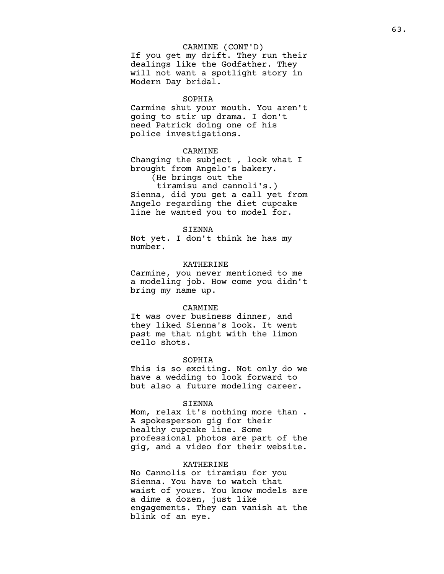# CARMINE (CONT'D)

If you get my drift. They run their dealings like the Godfather. They will not want a spotlight story in Modern Day bridal.

### SOPHIA

Carmine shut your mouth. You aren't going to stir up drama. I don't need Patrick doing one of his police investigations.

# CARMINE

Changing the subject , look what I brought from Angelo's bakery.

(He brings out the

tiramisu and cannoli's.) Sienna, did you get a call yet from Angelo regarding the diet cupcake line he wanted you to model for.

#### SIENNA

Not yet. I don't think he has my number.

### KATHERINE

Carmine, you never mentioned to me a modeling job. How come you didn't bring my name up.

#### CARMINE

It was over business dinner, and they liked Sienna's look. It went past me that night with the limon cello shots.

#### SOPHIA

This is so exciting. Not only do we have a wedding to look forward to but also a future modeling career.

#### SIENNA

Mom, relax it's nothing more than . A spokesperson gig for their healthy cupcake line. Some professional photos are part of the gig, and a video for their website.

# KATHERINE

No Cannolis or tiramisu for you Sienna. You have to watch that waist of yours. You know models are a dime a dozen, just like engagements. They can vanish at the blink of an eye.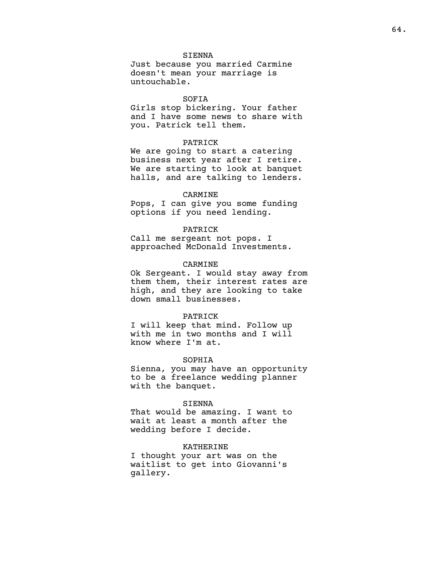# SIENNA

Just because you married Carmine doesn't mean your marriage is untouchable.

## SOFIA

Girls stop bickering. Your father and I have some news to share with you. Patrick tell them.

# PATRICK

We are going to start a catering business next year after I retire. We are starting to look at banquet halls, and are talking to lenders.

#### CARMINE

Pops, I can give you some funding options if you need lending.

#### PATRICK

Call me sergeant not pops. I approached McDonald Investments.

### CARMINE

Ok Sergeant. I would stay away from them them, their interest rates are high, and they are looking to take down small businesses.

## PATRICK

I will keep that mind. Follow up with me in two months and I will know where I'm at.

#### SOPHIA

Sienna, you may have an opportunity to be a freelance wedding planner with the banquet.

# SIENNA

That would be amazing. I want to wait at least a month after the wedding before I decide.

# KATHERINE

I thought your art was on the waitlist to get into Giovanni's gallery.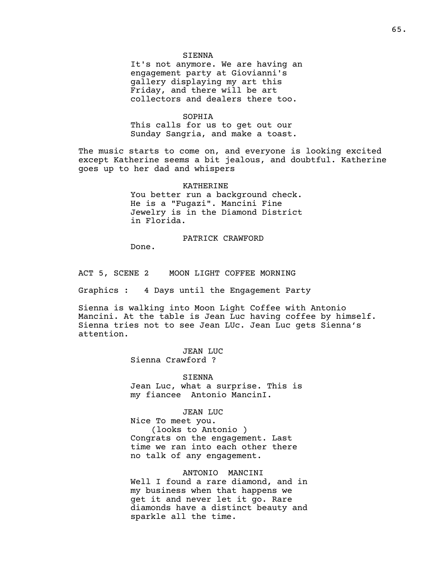## SIENNA

It's not anymore. We are having an engagement party at Giovianni's gallery displaying my art this Friday, and there will be art collectors and dealers there too.

#### SOPHIA

This calls for us to get out our Sunday Sangria, and make a toast.

The music starts to come on, and everyone is looking excited except Katherine seems a bit jealous, and doubtful. Katherine goes up to her dad and whispers

> KATHERINE You better run a background check. He is a "Fugazi". Mancini Fine Jewelry is in the Diamond District in Florida.

# PATRICK CRAWFORD

Done.

ACT 5, SCENE 2 MOON LIGHT COFFEE MORNING

Graphics : 4 Days until the Engagement Party

Sienna is walking into Moon Light Coffee with Antonio Mancini. At the table is Jean Luc having coffee by himself. Sienna tries not to see Jean LUc. Jean Luc gets Sienna's attention.

> JEAN LUC Sienna Crawford ?

SIENNA Jean Luc, what a surprise. This is my fiancee Antonio MancinI.

JEAN LUC Nice To meet you. (looks to Antonio ) Congrats on the engagement. Last time we ran into each other there no talk of any engagement.

ANTONIO MANCINI Well I found a rare diamond, and in my business when that happens we get it and never let it go. Rare diamonds have a distinct beauty and sparkle all the time.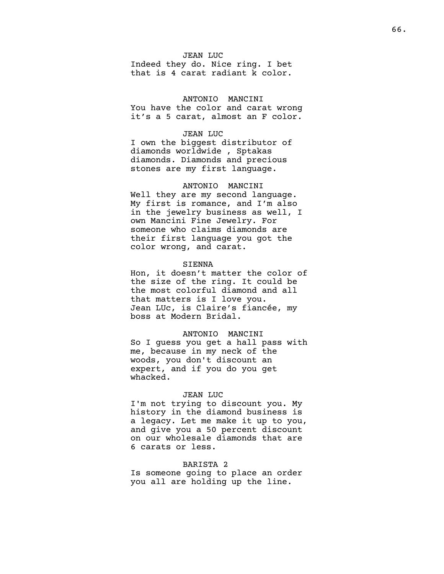# JEAN LUC

Indeed they do. Nice ring. I bet that is 4 carat radiant k color.

# ANTONIO MANCINI

You have the color and carat wrong it's a 5 carat, almost an F color.

## JEAN LUC

I own the biggest distributor of diamonds worldwide , Sptakas diamonds. Diamonds and precious stones are my first language.

# ANTONIO MANCINI

Well they are my second language. My first is romance, and I'm also in the jewelry business as well, I own Mancini Fine Jewelry. For someone who claims diamonds are their first language you got the color wrong, and carat.

#### SIENNA

Hon, it doesn't matter the color of the size of the ring. It could be the most colorful diamond and all that matters is I love you. Jean LUc, is Claire's fiancée, my boss at Modern Bridal.

## ANTONIO MANCINI

So I guess you get a hall pass with me, because in my neck of the woods, you don't discount an expert, and if you do you get whacked.

#### JEAN LUC

I'm not trying to discount you. My history in the diamond business is a legacy. Let me make it up to you, and give you a 50 percent discount on our wholesale diamonds that are 6 carats or less.

# BARISTA 2

Is someone going to place an order you all are holding up the line.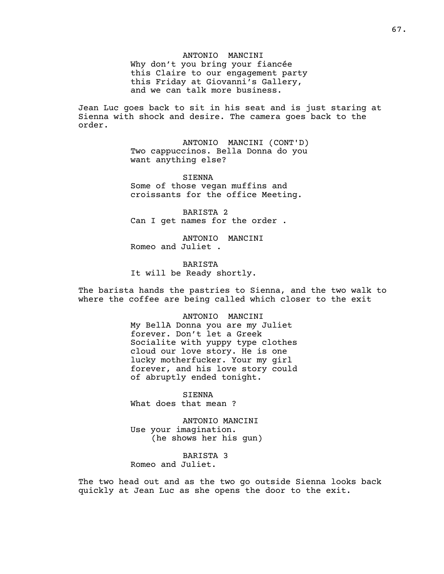## ANTONIO MANCINI

Why don't you bring your fiancée this Claire to our engagement party this Friday at Giovanni's Gallery, and we can talk more business.

Jean Luc goes back to sit in his seat and is just staring at Sienna with shock and desire. The camera goes back to the order.

> ANTONIO MANCINI (CONT'D) Two cappuccinos. Bella Donna do you want anything else?

SIENNA Some of those vegan muffins and croissants for the office Meeting.

BARISTA 2 Can I get names for the order .

ANTONIO MANCINI Romeo and Juliet .

BARISTA It will be Ready shortly.

The barista hands the pastries to Sienna, and the two walk to where the coffee are being called which closer to the exit

> ANTONIO MANCINI My BellA Donna you are my Juliet forever. Don't let a Greek Socialite with yuppy type clothes cloud our love story. He is one lucky motherfucker. Your my girl forever, and his love story could of abruptly ended tonight.

SIENNA What does that mean ?

ANTONIO MANCINI Use your imagination. (he shows her his gun)

BARISTA 3 Romeo and Juliet.

The two head out and as the two go outside Sienna looks back quickly at Jean Luc as she opens the door to the exit.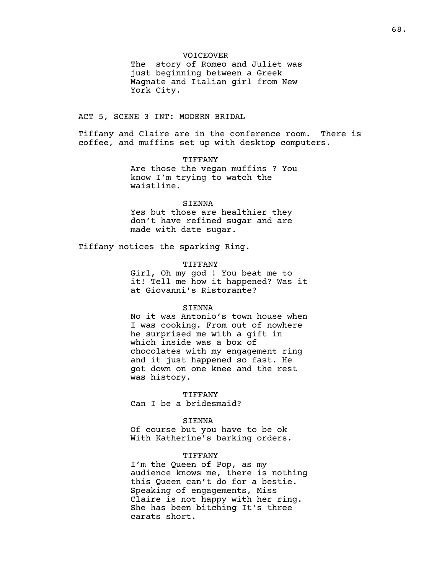# VOICEOVER

The story of Romeo and Juliet was just beginning between a Greek Magnate and Italian girl from New York City.

# ACT 5, SCENE 3 INT: MODERN BRIDAL

Tiffany and Claire are in the conference room. There is coffee, and muffins set up with desktop computers.

> TIFFANY Are those the vegan muffins ? You know I'm trying to watch the waistline.

# SIENNA

Yes but those are healthier they don't have refined sugar and are made with date sugar.

Tiffany notices the sparking Ring.

#### TIFFANY

Girl, Oh my god ! You beat me to it! Tell me how it happened? Was it at Giovanni's Ristorante?

## SIENNA

No it was Antonio's town house when I was cooking. From out of nowhere he surprised me with a gift in which inside was a box of chocolates with my engagement ring and it just happened so fast. He got down on one knee and the rest was history.

## TIFFANY

Can I be a bridesmaid?

# SIENNA

Of course but you have to be ok With Katherine's barking orders.

# TIFFANY

I'm the Queen of Pop, as my audience knows me, there is nothing this Queen can't do for a bestie. Speaking of engagements, Miss Claire is not happy with her ring. She has been bitching It's three carats short.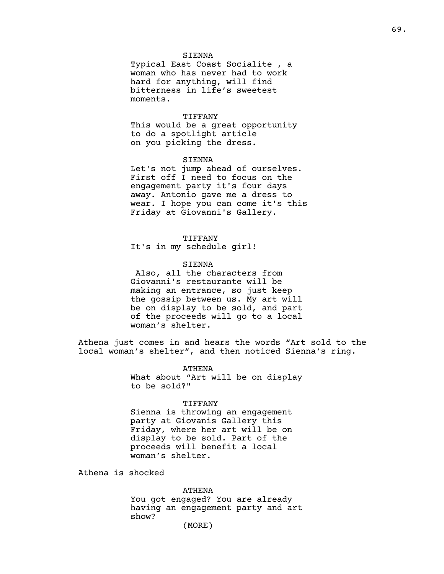# SIENNA

Typical East Coast Socialite , a woman who has never had to work hard for anything, will find bitterness in life's sweetest moments.

# TIFFANY

This would be a great opportunity to do a spotlight article on you picking the dress.

# SIENNA

Let's not jump ahead of ourselves. First off I need to focus on the engagement party it's four days away. Antonio gave me a dress to wear. I hope you can come it's this Friday at Giovanni's Gallery.

#### TIFFANY

It's in my schedule girl!

#### SIENNA

Also, all the characters from Giovanni's restaurante will be making an entrance, so just keep the gossip between us. My art will be on display to be sold, and part of the proceeds will go to a local woman's shelter.

Athena just comes in and hears the words "Art sold to the local woman's shelter", and then noticed Sienna's ring.

> ATHENA What about "Art will be on display to be sold?"

## TIFFANY

Sienna is throwing an engagement party at Giovanis Gallery this Friday, where her art will be on display to be sold. Part of the proceeds will benefit a local woman's shelter.

Athena is shocked

ATHENA

You got engaged? You are already having an engagement party and art show?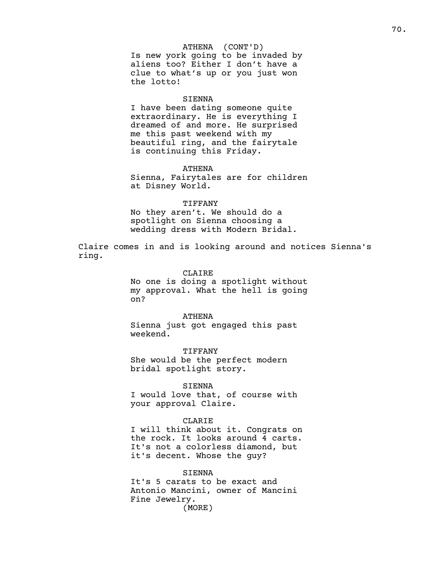# ATHENA (CONT'D)

Is new york going to be invaded by aliens too? Either I don't have a clue to what's up or you just won the lotto!

## SIENNA

I have been dating someone quite extraordinary. He is everything I dreamed of and more. He surprised me this past weekend with my beautiful ring, and the fairytale is continuing this Friday.

#### ATHENA

Sienna, Fairytales are for children at Disney World.

# TIFFANY

No they aren't. We should do a spotlight on Sienna choosing a wedding dress with Modern Bridal.

Claire comes in and is looking around and notices Sienna's ring.

# CLAIRE

No one is doing a spotlight without my approval. What the hell is going on?

# ATHENA

Sienna just got engaged this past weekend.

TIFFANY She would be the perfect modern bridal spotlight story.

# SIENNA

I would love that, of course with your approval Claire.

#### CLARIE

I will think about it. Congrats on the rock. It looks around 4 carts. It's not a colorless diamond, but it's decent. Whose the guy?

## SIENNA

It's 5 carats to be exact and Antonio Mancini, owner of Mancini Fine Jewelry. (MORE)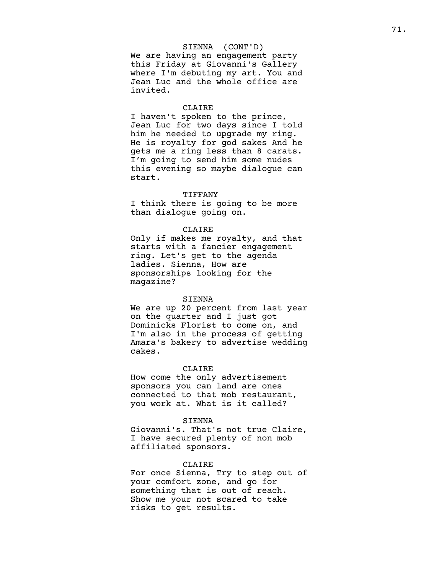# SIENNA (CONT'D)

We are having an engagement party this Friday at Giovanni's Gallery where I'm debuting my art. You and Jean Luc and the whole office are invited.

#### CLAIRE

I haven't spoken to the prince, Jean Luc for two days since I told him he needed to upgrade my ring. He is royalty for god sakes And he gets me a ring less than 8 carats. I'm going to send him some nudes this evening so maybe dialogue can start.

#### TIFFANY

I think there is going to be more than dialogue going on.

#### CLAIRE

Only if makes me royalty, and that starts with a fancier engagement ring. Let's get to the agenda ladies. Sienna, How are sponsorships looking for the magazine?

#### SIENNA

We are up 20 percent from last year on the quarter and I just got Dominicks Florist to come on, and I'm also in the process of getting Amara's bakery to advertise wedding cakes.

# CLAIRE

How come the only advertisement sponsors you can land are ones connected to that mob restaurant, you work at. What is it called?

# SIENNA

Giovanni's. That's not true Claire, I have secured plenty of non mob affiliated sponsors.

# CLAIRE

For once Sienna, Try to step out of your comfort zone, and go for something that is out of reach. Show me your not scared to take risks to get results.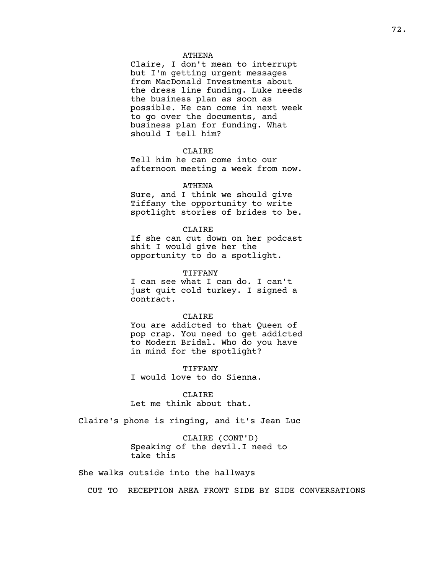## ATHENA

Claire, I don't mean to interrupt but I'm getting urgent messages from MacDonald Investments about the dress line funding. Luke needs the business plan as soon as possible. He can come in next week to go over the documents, and business plan for funding. What should I tell him?

## CLAIRE

Tell him he can come into our afternoon meeting a week from now.

## ATHENA

Sure, and I think we should give Tiffany the opportunity to write spotlight stories of brides to be.

#### CLAIRE

If she can cut down on her podcast shit I would give her the opportunity to do a spotlight.

### TIFFANY

I can see what I can do. I can't just quit cold turkey. I signed a contract.

## CLAIRE

You are addicted to that Queen of pop crap. You need to get addicted to Modern Bridal. Who do you have in mind for the spotlight?

TIFFANY I would love to do Sienna.

CLAIRE Let me think about that.

Claire's phone is ringing, and it's Jean Luc

CLAIRE (CONT'D) Speaking of the devil.I need to take this

She walks outside into the hallways

CUT TO RECEPTION AREA FRONT SIDE BY SIDE CONVERSATIONS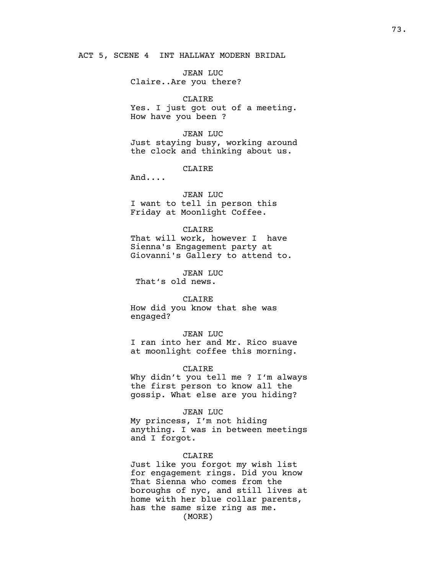ACT 5, SCENE 4 INT HALLWAY MODERN BRIDAL

JEAN LUC Claire..Are you there?

### CLAIRE

Yes. I just got out of a meeting. How have you been ?

JEAN LUC Just staying busy, working around the clock and thinking about us.

CLAIRE

And....

#### JEAN LUC

I want to tell in person this Friday at Moonlight Coffee.

#### CLAIRE

That will work, however I have Sienna's Engagement party at Giovanni's Gallery to attend to.

JEAN LUC

That's old news.

## CLAIRE

How did you know that she was engaged?

#### JEAN LUC

I ran into her and Mr. Rico suave at moonlight coffee this morning.

#### CLAIRE

Why didn't you tell me ? I'm always the first person to know all the gossip. What else are you hiding?

#### JEAN LUC

My princess, I'm not hiding anything. I was in between meetings and I forgot.

#### CLAIRE

Just like you forgot my wish list for engagement rings. Did you know That Sienna who comes from the boroughs of nyc, and still lives at home with her blue collar parents, has the same size ring as me. (MORE)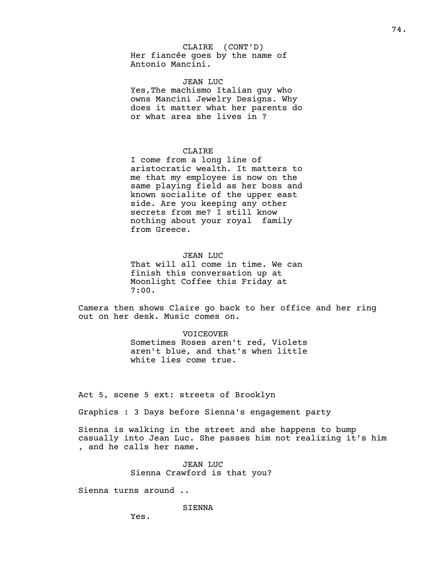## CLAIRE (CONT'D)

Her fiancée goes by the name of Antonio Mancini.

## JEAN LUC

Yes,The machismo Italian guy who owns Mancini Jewelry Designs. Why does it matter what her parents do or what area she lives in ?

## CLAIRE

I come from a long line of aristocratic wealth. It matters to me that my employee is now on the same playing field as her boss and known socialite of the upper east side. Are you keeping any other secrets from me? I still know nothing about your royal family from Greece.

## JEAN LUC

That will all come in time. We can finish this conversation up at Moonlight Coffee this Friday at 7:00.

Camera then shows Claire go back to her office and her ring out on her desk. Music comes on.

#### VOICEOVER

Sometimes Roses aren't red, Violets aren't blue, and that's when little white lies come true.

Act 5, scene 5 ext: streets of Brooklyn

Graphics : 3 Days before Sienna's engagement party

Sienna is walking in the street and she happens to bump casually into Jean Luc. She passes him not realizing it's him , and he calls her name.

> JEAN LUC Sienna Crawford is that you?

Sienna turns around ..

SIENNA

Yes.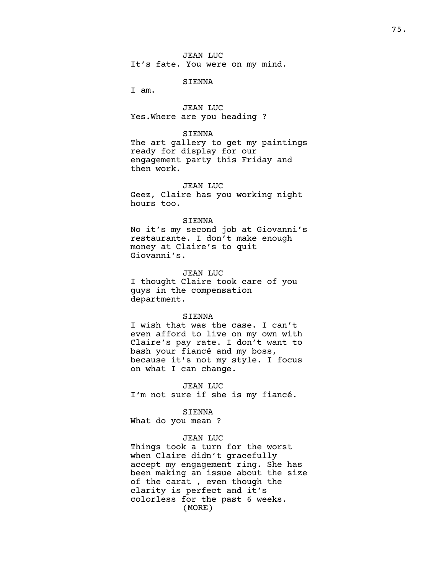## SIENNA

I am.

JEAN LUC Yes.Where are you heading ?

#### SIENNA

The art gallery to get my paintings ready for display for our engagement party this Friday and then work.

## JEAN LUC

Geez, Claire has you working night hours too.

### SIENNA

No it's my second job at Giovanni's restaurante. I don't make enough money at Claire's to quit Giovanni's.

#### JEAN LUC

I thought Claire took care of you guys in the compensation department.

## SIENNA

I wish that was the case. I can't even afford to live on my own with Claire's pay rate. I don't want to bash your fiancé and my boss, because it's not my style. I focus on what I can change.

JEAN LUC I'm not sure if she is my fiancé.

## SIENNA

What do you mean ?

## JEAN LUC

Things took a turn for the worst when Claire didn't gracefully accept my engagement ring. She has been making an issue about the size of the carat , even though the clarity is perfect and it's colorless for the past 6 weeks. (MORE)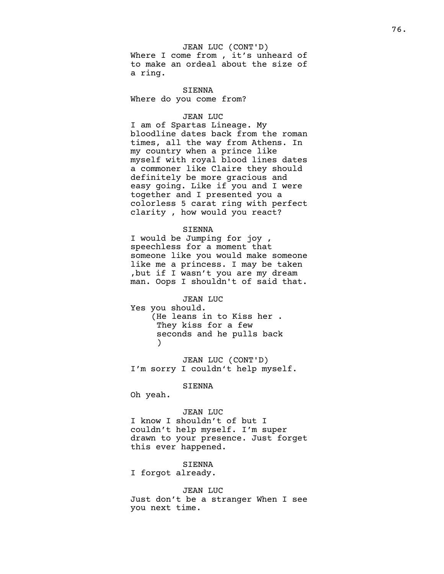## JEAN LUC (CONT'D)

Where I come from, it's unheard of to make an ordeal about the size of a ring.

SIENNA Where do you come from?

## JEAN LUC

I am of Spartas Lineage. My bloodline dates back from the roman times, all the way from Athens. In my country when a prince like myself with royal blood lines dates a commoner like Claire they should definitely be more gracious and easy going. Like if you and I were together and I presented you a colorless 5 carat ring with perfect clarity , how would you react?

#### SIENNA

I would be Jumping for joy , speechless for a moment that someone like you would make someone like me a princess. I may be taken ,but if I wasn't you are my dream man. Oops I shouldn't of said that.

JEAN LUC Yes you should. (He leans in to Kiss her . They kiss for a few seconds and he pulls back )

JEAN LUC (CONT'D) I'm sorry I couldn't help myself.

## SIENNA

Oh yeah.

## JEAN LUC

I know I shouldn't of but I couldn't help myself. I'm super drawn to your presence. Just forget this ever happened.

#### SIENNA

I forgot already.

JEAN LUC Just don't be a stranger When I see you next time.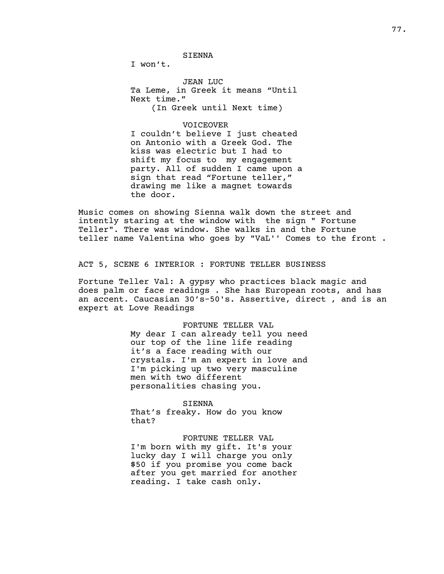SIENNA

I won't.

JEAN LUC Ta Leme, in Greek it means "Until Next time." (In Greek until Next time)

## VOICEOVER

I couldn't believe I just cheated on Antonio with a Greek God. The kiss was electric but I had to shift my focus to my engagement party. All of sudden I came upon a sign that read "Fortune teller," drawing me like a magnet towards the door.

Music comes on showing Sienna walk down the street and intently staring at the window with the sign " Fortune Teller". There was window. She walks in and the Fortune teller name Valentina who goes by "VaL'' Comes to the front .

ACT 5, SCENE 6 INTERIOR : FORTUNE TELLER BUSINESS

Fortune Teller Val: A gypsy who practices black magic and does palm or face readings . She has European roots, and has an accent. Caucasian 30's-50's. Assertive, direct , and is an expert at Love Readings

> FORTUNE TELLER VAL My dear I can already tell you need our top of the line life reading it's a face reading with our crystals. I'm an expert in love and I'm picking up two very masculine men with two different personalities chasing you.

> > SIENNA

That's freaky. How do you know that?

FORTUNE TELLER VAL I'm born with my gift. It's your lucky day I will charge you only \$50 if you promise you come back after you get married for another reading. I take cash only.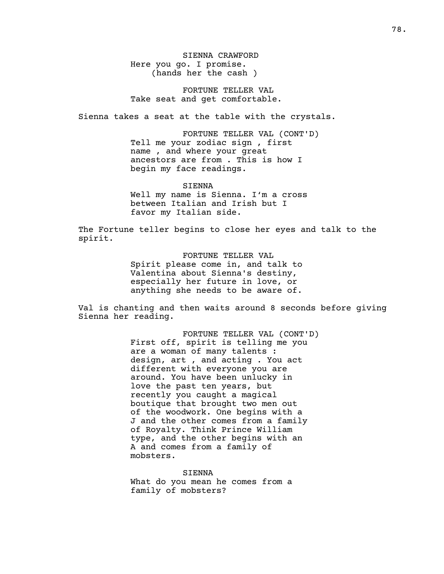SIENNA CRAWFORD Here you go. I promise. (hands her the cash )

FORTUNE TELLER VAL Take seat and get comfortable.

Sienna takes a seat at the table with the crystals.

FORTUNE TELLER VAL (CONT'D) Tell me your zodiac sign , first name , and where your great ancestors are from . This is how I begin my face readings.

SIENNA Well my name is Sienna. I'm a cross between Italian and Irish but I favor my Italian side.

The Fortune teller begins to close her eyes and talk to the spirit.

> FORTUNE TELLER VAL Spirit please come in, and talk to Valentina about Sienna's destiny, especially her future in love, or anything she needs to be aware of.

Val is chanting and then waits around 8 seconds before giving Sienna her reading.

> FORTUNE TELLER VAL (CONT'D) First off, spirit is telling me you are a woman of many talents : design, art , and acting . You act different with everyone you are around. You have been unlucky in love the past ten years, but recently you caught a magical boutique that brought two men out of the woodwork. One begins with a J and the other comes from a family of Royalty. Think Prince William type, and the other begins with an A and comes from a family of mobsters.

SIENNA What do you mean he comes from a family of mobsters?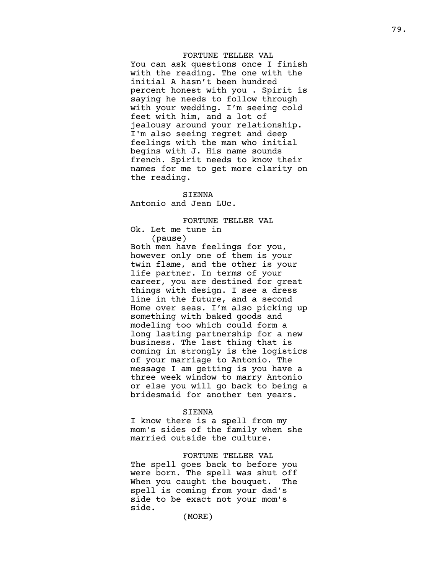## FORTUNE TELLER VAL

You can ask questions once I finish with the reading. The one with the initial A hasn't been hundred percent honest with you . Spirit is saying he needs to follow through with your wedding. I'm seeing cold feet with him, and a lot of jealousy around your relationship. I'm also seeing regret and deep feelings with the man who initial begins with J. His name sounds french. Spirit needs to know their names for me to get more clarity on the reading.

## S I E N N A

Antonio and Jean LUc.

FORTUNE TELLER VAL Ok. Let me tune in

( p a u s e )

Both men have feelings for you, however only one of them is your twin flame, and the other is your life partner. In terms of your career, you are destined for great things with design. I see a dress line in the future, and a second Home over seas. I'm also picking up something with baked goods and modeling too which could form a long lasting partnership for a new business. The last thing that is coming in strongly is the logistics of your marriage to Antonio. The message I am getting is you have a three week window to marry Antonio or else you will go back to being a bridesmaid for another ten years.

## S I E N N A

I know there is a spell from my mom's sides of the family when she married outside the culture.

## FORTUNE TELLER VAL

The spell goes back to before you were born. The spell was shut off When you caught the bouquet. T h e spell is coming from your dad's side to be exact not your mom's s i d e .

( M O R E )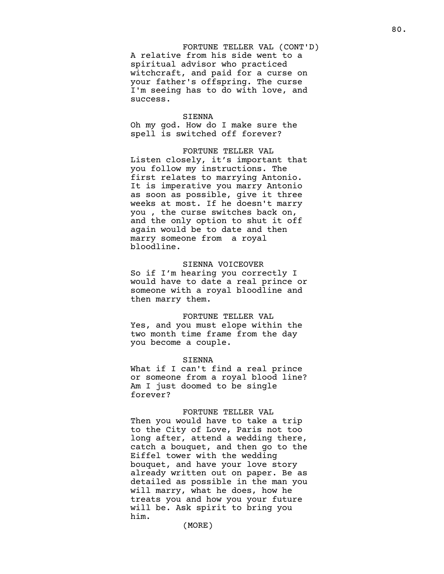FORTUNE TELLER VAL (CONT'D) A relative from his side went to a spiritual advisor who practiced witchcraft, and paid for a curse on your father's offspring. The curse I'm seeing has to do with love, and success.

#### SIENNA

Oh my god. How do I make sure the spell is switched off forever?

#### FORTUNE TELLER VAL

Listen closely, it's important that you follow my instructions. The first relates to marrying Antonio. It is imperative you marry Antonio as soon as possible, give it three weeks at most. If he doesn't marry you , the curse switches back on, and the only option to shut it off again would be to date and then marry someone from a royal bloodline.

#### SIENNA VOICEOVER

So if I'm hearing you correctly I would have to date a real prince or someone with a royal bloodline and then marry them.

#### FORTUNE TELLER VAL

Yes, and you must elope within the two month time frame from the day you become a couple.

#### SIENNA

What if I can't find a real prince or someone from a royal blood line? Am I just doomed to be single forever?

#### FORTUNE TELLER VAL

Then you would have to take a trip to the City of Love, Paris not too long after, attend a wedding there, catch a bouquet, and then go to the Eiffel tower with the wedding bouquet, and have your love story already written out on paper. Be as detailed as possible in the man you will marry, what he does, how he treats you and how you your future will be. Ask spirit to bring you him.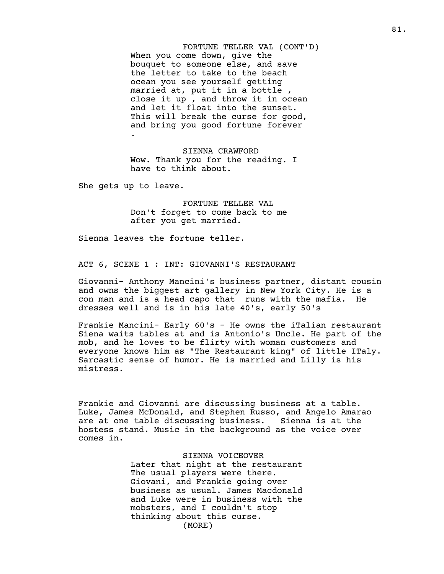FORTUNE TELLER VAL (CONT'D) When you come down, give the bouquet to someone else, and save the letter to take to the beach ocean you see yourself getting married at, put it in a bottle , close it up , and throw it in ocean and let it float into the sunset. This will break the curse for good, and bring you good fortune forever

SIENNA CRAWFORD Wow. Thank you for the reading. I have to think about.

She gets up to leave.

.

FORTUNE TELLER VAL Don't forget to come back to me after you get married.

Sienna leaves the fortune teller.

ACT 6, SCENE 1 : INT: GIOVANNI'S RESTAURANT

Giovanni- Anthony Mancini's business partner, distant cousin and owns the biggest art gallery in New York City. He is a con man and is a head capo that runs with the mafia. He dresses well and is in his late 40's, early 50's

Frankie Mancini- Early 60's - He owns the iTalian restaurant Siena waits tables at and is Antonio's Uncle. He part of the mob, and he loves to be flirty with woman customers and everyone knows him as "The Restaurant king" of little ITaly. Sarcastic sense of humor. He is married and Lilly is his mistress.

Frankie and Giovanni are discussing business at a table. Luke, James McDonald, and Stephen Russo, and Angelo Amarao are at one table discussing business. Sienna is at the hostess stand. Music in the background as the voice over comes in.

> SIENNA VOICEOVER Later that night at the restaurant The usual players were there. Giovani, and Frankie going over business as usual. James Macdonald and Luke were in business with the mobsters, and I couldn't stop thinking about this curse. (MORE)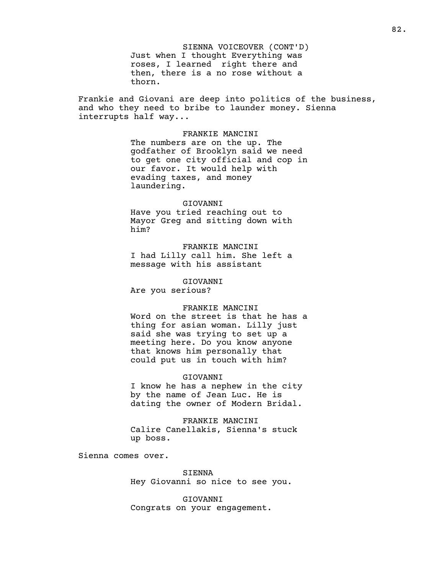SIENNA VOICEOVER (CONT'D) Just when I thought Everything was roses, I learned right there and then, there is a no rose without a thorn.

Frankie and Giovani are deep into politics of the business, and who they need to bribe to launder money. Sienna interrupts half way...

#### FRANKIE MANCINI

The numbers are on the up. The godfather of Brooklyn said we need to get one city official and cop in our favor. It would help with evading taxes, and money laundering.

## GIOVANNI

Have you tried reaching out to Mayor Greg and sitting down with him?

FRANKIE MANCINI I had Lilly call him. She left a message with his assistant

## GIOVANNI

Are you serious?

## FRANKIE MANCINI

Word on the street is that he has a thing for asian woman. Lilly just said she was trying to set up a meeting here. Do you know anyone that knows him personally that could put us in touch with him?

#### GIOVANNI

I know he has a nephew in the city by the name of Jean Luc. He is dating the owner of Modern Bridal.

FRANKIE MANCINI Calire Canellakis, Sienna's stuck up boss.

Sienna comes over.

SIENNA Hey Giovanni so nice to see you.

GIOVANNI Congrats on your engagement.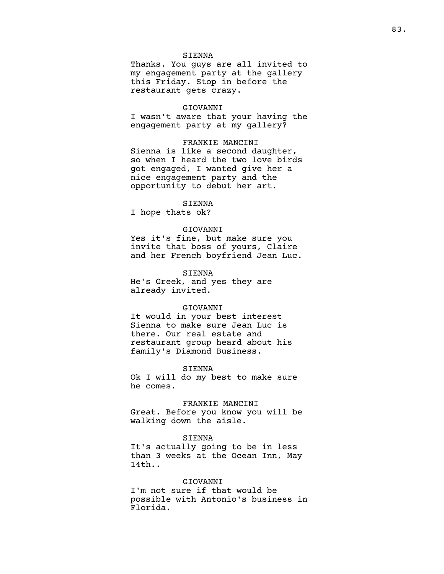## SIENNA

Thanks. You guys are all invited to my engagement party at the gallery this Friday. Stop in before the restaurant gets crazy.

### GIOVANNI

I wasn't aware that your having the engagement party at my gallery?

## FRANKIE MANCINI

Sienna is like a second daughter, so when I heard the two love birds got engaged, I wanted give her a nice engagement party and the opportunity to debut her art.

## SIENNA

I hope thats ok?

#### GIOVANNI

Yes it's fine, but make sure you invite that boss of yours, Claire and her French boyfriend Jean Luc.

#### SIENNA

He's Greek, and yes they are already invited.

### GIOVANNI

It would in your best interest Sienna to make sure Jean Luc is there. Our real estate and restaurant group heard about his family's Diamond Business.

#### SIENNA

Ok I will do my best to make sure he comes.

## FRANKIE MANCINI

Great. Before you know you will be walking down the aisle.

## SIENNA

It's actually going to be in less than 3 weeks at the Ocean Inn, May 14th..

## GIOVANNI

I'm not sure if that would be possible with Antonio's business in Florida.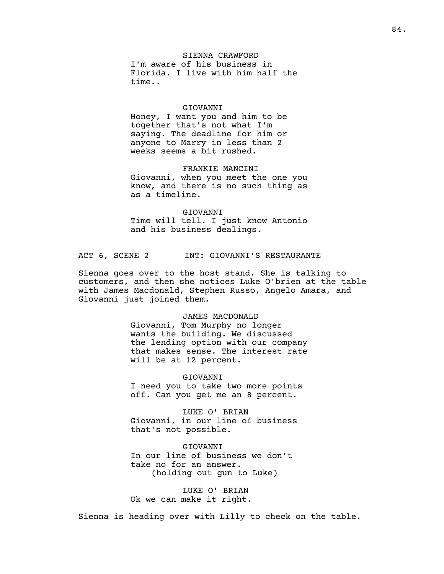## SIENNA CRAWFORD I'm aware of his business in Florida. I live with him half the time..

#### GIOVANNI

Honey, I want you and him to be together that's not what I'm saying. The deadline for him or anyone to Marry in less than 2 weeks seems a bit rushed.

## FRANKIE MANCINI

Giovanni, when you meet the one you know, and there is no such thing as as a timeline.

GIOVANNI Time will tell. I just know Antonio and his business dealings.

ACT 6, SCENE 2 INT: GIOVANNI'S RESTAURANTE

Sienna goes over to the host stand. She is talking to customers, and then she notices Luke O'brien at the table with James Macdonald, Stephen Russo, Angelo Amara, and Giovanni just joined them.

### JAMES MACDONALD

Giovanni, Tom Murphy no longer wants the building. We discussed the lending option with our company that makes sense. The interest rate will be at 12 percent.

GIOVANNI I need you to take two more points off. Can you get me an 8 percent.

LUKE O' BRIAN Giovanni, in our line of business that's not possible.

GIOVANNI In our line of business we don't take no for an answer. (holding out gun to Luke)

LUKE O' BRIAN Ok we can make it right.

Sienna is heading over with Lilly to check on the table.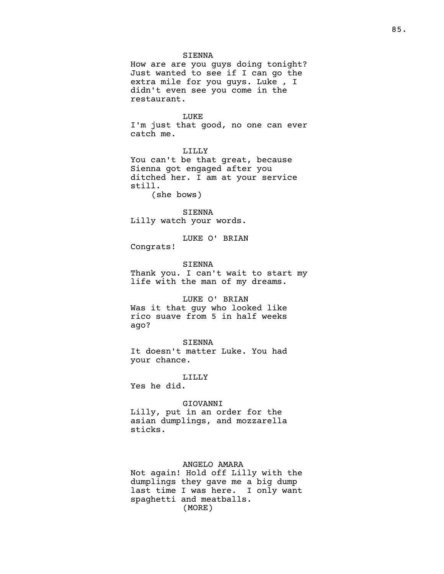#### SIENNA

How are are you guys doing tonight? Just wanted to see if I can go the extra mile for you guys. Luke , I didn't even see you come in the restaurant.

LUKE I'm just that good, no one can ever catch me.

LILLY You can't be that great, because Sienna got engaged after you ditched her. I am at your service still.

(she bows)

## SIENNA

Lilly watch your words.

LUKE O' BRIAN

Congrats!

#### SIENNA

Thank you. I can't wait to start my life with the man of my dreams.

## LUKE O' BRIAN

Was it that guy who looked like rico suave from 5 in half weeks ago?

#### SIENNA

It doesn't matter Luke. You had your chance.

#### LILLY

Yes he did.

## GIOVANNI

Lilly, put in an order for the asian dumplings, and mozzarella sticks.

## ANGELO AMARA

Not again! Hold off Lilly with the dumplings they gave me a big dump last time I was here. I only want spaghetti and meatballs. (MORE)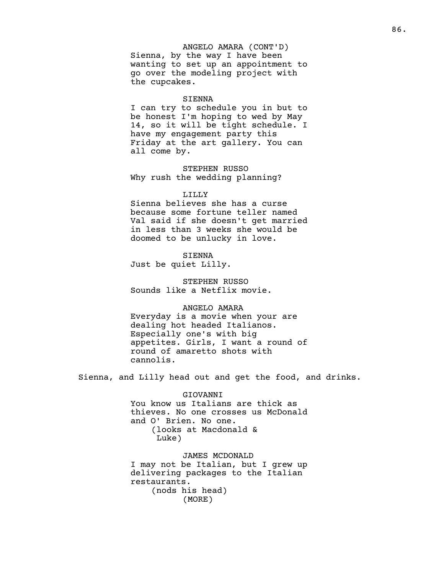### ANGELO AMARA (CONT'D)

Sienna, by the way I have been wanting to set up an appointment to go over the modeling project with the cupcakes.

#### SIENNA

I can try to schedule you in but to be honest I'm hoping to wed by May 14, so it will be tight schedule. I have my engagement party this Friday at the art gallery. You can all come by.

STEPHEN RUSSO Why rush the wedding planning?

#### LILLY

Sienna believes she has a curse because some fortune teller named Val said if she doesn't get married in less than 3 weeks she would be doomed to be unlucky in love.

#### SIENNA

Just be quiet Lilly.

STEPHEN RUSSO Sounds like a Netflix movie.

## ANGELO AMARA

Everyday is a movie when your are dealing hot headed Italianos. Especially one's with big appetites. Girls, I want a round of round of amaretto shots with cannolis.

Sienna, and Lilly head out and get the food, and drinks.

### GIOVANNI

You know us Italians are thick as thieves. No one crosses us McDonald and O' Brien. No one. (looks at Macdonald & Luke)

JAMES MCDONALD I may not be Italian, but I grew up delivering packages to the Italian restaurants. (nods his head) (MORE)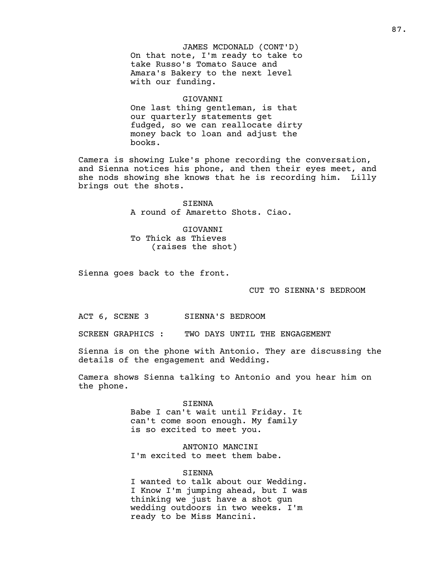JAMES MCDONALD (CONT'D) On that note, I'm ready to take to take Russo's Tomato Sauce and Amara's Bakery to the next level with our funding.

#### GIOVANNI

One last thing gentleman, is that our quarterly statements get fudged, so we can reallocate dirty money back to loan and adjust the books.

Camera is showing Luke's phone recording the conversation, and Sienna notices his phone, and then their eyes meet, and she nods showing she knows that he is recording him. Lilly brings out the shots.

> SIENNA A round of Amaretto Shots. Ciao.

GIOVANNI To Thick as Thieves (raises the shot)

Sienna goes back to the front.

CUT TO SIENNA'S BEDROOM

ACT 6, SCENE 3 SIENNA'S BEDROOM

SCREEN GRAPHICS : TWO DAYS UNTIL THE ENGAGEMENT

Sienna is on the phone with Antonio. They are discussing the details of the engagement and Wedding.

Camera shows Sienna talking to Antonio and you hear him on the phone.

SIENNA

Babe I can't wait until Friday. It can't come soon enough. My family is so excited to meet you.

ANTONIO MANCINI I'm excited to meet them babe.

## SIENNA

I wanted to talk about our Wedding. I Know I'm jumping ahead, but I was thinking we just have a shot gun wedding outdoors in two weeks. I'm ready to be Miss Mancini.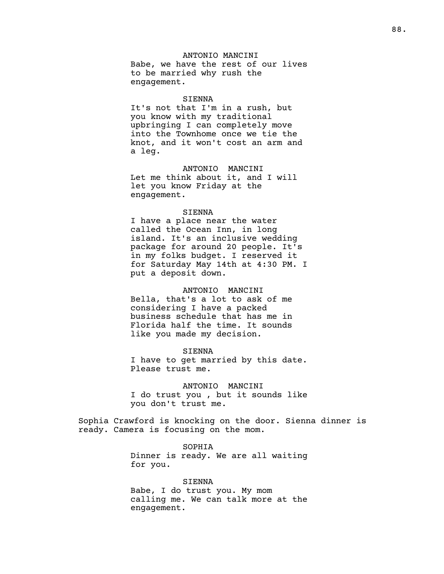ANTONIO MANCINI Babe, we have the rest of our lives to be married why rush the engagement.

#### SIENNA

It's not that I'm in a rush, but you know with my traditional upbringing I can completely move into the Townhome once we tie the knot, and it won't cost an arm and a leg.

ANTONIO MANCINI Let me think about it, and I will let you know Friday at the engagement.

#### SIENNA

I have a place near the water called the Ocean Inn, in long island. It's an inclusive wedding package for around 20 people. It's in my folks budget. I reserved it for Saturday May 14th at 4:30 PM. I put a deposit down.

#### ANTONIO MANCINI

Bella, that's a lot to ask of me considering I have a packed business schedule that has me in Florida half the time. It sounds like you made my decision.

SIENNA I have to get married by this date. Please trust me.

ANTONIO MANCINI I do trust you , but it sounds like you don't trust me.

Sophia Crawford is knocking on the door. Sienna dinner is ready. Camera is focusing on the mom.

> SOPHIA Dinner is ready. We are all waiting for you.

> SIENNA Babe, I do trust you. My mom calling me. We can talk more at the engagement.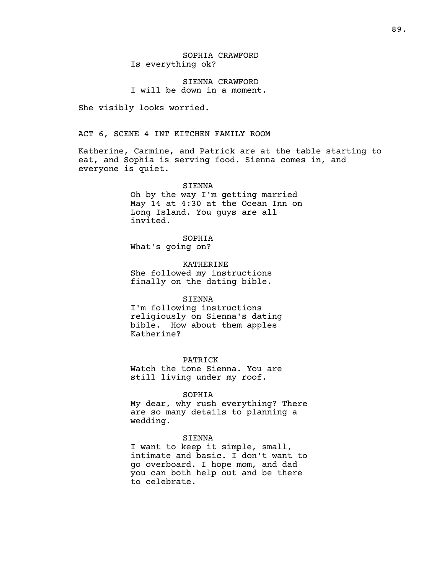## SOPHIA CRAWFORD Is everything ok?

## SIENNA CRAWFORD I will be down in a moment.

She visibly looks worried.

## ACT 6, SCENE 4 INT KITCHEN FAMILY ROOM

Katherine, Carmine, and Patrick are at the table starting to eat, and Sophia is serving food. Sienna comes in, and everyone is quiet.

## SIENNA Oh by the way I'm getting married May 14 at 4:30 at the Ocean Inn on Long Island. You guys are all invited.

SOPHIA What's going on?

KATHERINE She followed my instructions finally on the dating bible.

#### SIENNA

I'm following instructions religiously on Sienna's dating bible. How about them apples Katherine?

#### PATRICK

Watch the tone Sienna. You are still living under my roof.

#### SOPHIA

My dear, why rush everything? There are so many details to planning a wedding.

#### SIENNA

I want to keep it simple, small, intimate and basic. I don't want to go overboard. I hope mom, and dad you can both help out and be there to celebrate.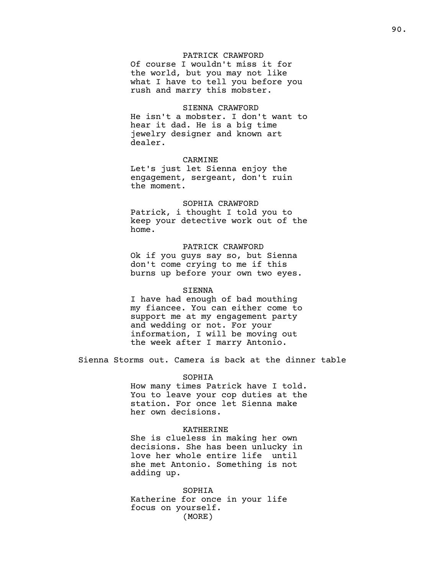## PATRICK CRAWFORD

Of course I wouldn't miss it for the world, but you may not like what I have to tell you before you rush and marry this mobster.

## SIENNA CRAWFORD

He isn't a mobster. I don't want to hear it dad. He is a big time jewelry designer and known art dealer.

## CARMINE

Let's just let Sienna enjoy the engagement, sergeant, don't ruin the moment.

## SOPHIA CRAWFORD

Patrick, i thought I told you to keep your detective work out of the home.

## PATRICK CRAWFORD

Ok if you guys say so, but Sienna don't come crying to me if this burns up before your own two eyes.

### SIENNA

I have had enough of bad mouthing my fiancee. You can either come to support me at my engagement party and wedding or not. For your information, I will be moving out the week after I marry Antonio.

Sienna Storms out. Camera is back at the dinner table

## SOPHIA

How many times Patrick have I told. You to leave your cop duties at the station. For once let Sienna make her own decisions.

#### KATHERINE

She is clueless in making her own decisions. She has been unlucky in love her whole entire life until she met Antonio. Something is not adding up.

SOPHIA Katherine for once in your life focus on yourself. (MORE)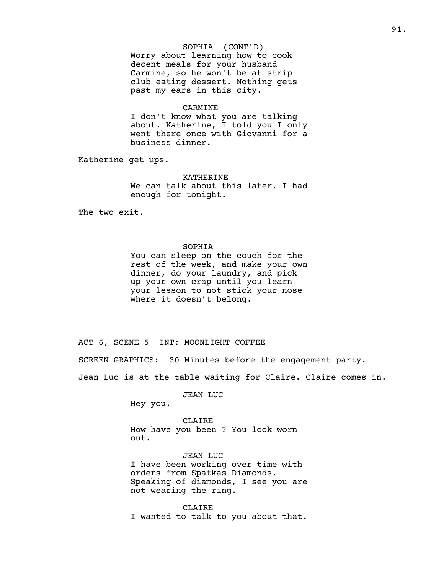## SOPHIA (CONT'D)

Worry about learning how to cook decent meals for your husband Carmine, so he won't be at strip club eating dessert. Nothing gets past my ears in this city.

### CARMINE

I don't know what you are talking about. Katherine, I told you I only went there once with Giovanni for a business dinner.

Katherine get ups.

### KATHERINE

We can talk about this later. I had enough for tonight.

The two exit.

### SOPHIA

You can sleep on the couch for the rest of the week, and make your own dinner, do your laundry, and pick up your own crap until you learn your lesson to not stick your nose where it doesn't belong.

ACT 6, SCENE 5 INT: MOONLIGHT COFFEE

SCREEN GRAPHICS: 30 Minutes before the engagement party.

Jean Luc is at the table waiting for Claire. Claire comes in.

JEAN LUC

Hey you.

CLAIRE How have you been ? You look worn out.

JEAN LUC I have been working over time with orders from Spatkas Diamonds. Speaking of diamonds, I see you are not wearing the ring.

CLAIRE I wanted to talk to you about that.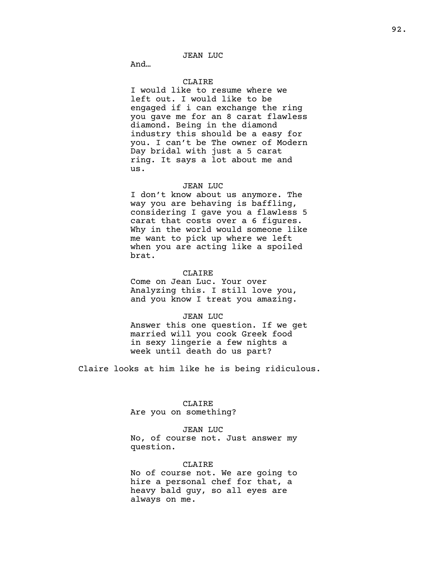## JEAN LUC

And…

## CLAIRE

I would like to resume where we left out. I would like to be engaged if i can exchange the ring you gave me for an 8 carat flawless diamond. Being in the diamond industry this should be a easy for you. I can't be The owner of Modern Day bridal with just a 5 carat ring. It says a lot about me and us.

#### JEAN LUC

I don't know about us anymore. The way you are behaving is baffling, considering I gave you a flawless 5 carat that costs over a 6 figures. Why in the world would someone like me want to pick up where we left when you are acting like a spoiled brat.

## CLAIRE

Come on Jean Luc. Your over Analyzing this. I still love you, and you know I treat you amazing.

## JEAN LUC

Answer this one question. If we get married will you cook Greek food in sexy lingerie a few nights a week until death do us part?

Claire looks at him like he is being ridiculous.

## CLAIRE

Are you on something?

#### JEAN LUC

No, of course not. Just answer my question.

## CLAIRE

No of course not. We are going to hire a personal chef for that, a heavy bald guy, so all eyes are always on me.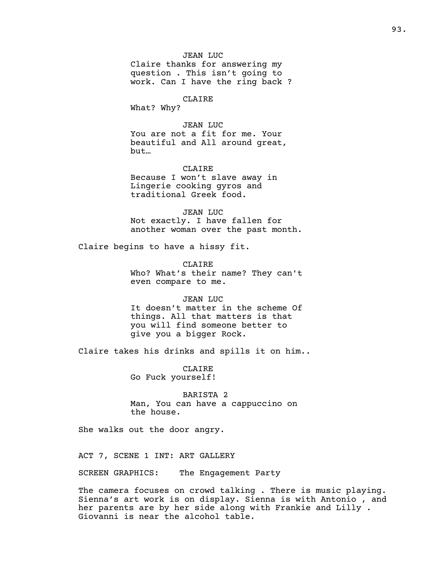Claire thanks for answering my question . This isn't going to work. Can I have the ring back ?

## CLAIRE

What? Why?

## JEAN LUC

You are not a fit for me. Your beautiful and All around great, but…

## CLAIRE

Because I won't slave away in Lingerie cooking gyros and traditional Greek food.

JEAN LUC Not exactly. I have fallen for another woman over the past month.

Claire begins to have a hissy fit.

CLAIRE Who? What's their name? They can't even compare to me.

### JEAN LUC

It doesn't matter in the scheme Of things. All that matters is that you will find someone better to give you a bigger Rock.

Claire takes his drinks and spills it on him..

CLAIRE Go Fuck yourself!

BARISTA 2 Man, You can have a cappuccino on the house.

She walks out the door angry.

ACT 7, SCENE 1 INT: ART GALLERY

SCREEN GRAPHICS: The Engagement Party

The camera focuses on crowd talking . There is music playing. Sienna's art work is on display. Sienna is with Antonio , and her parents are by her side along with Frankie and Lilly . Giovanni is near the alcohol table.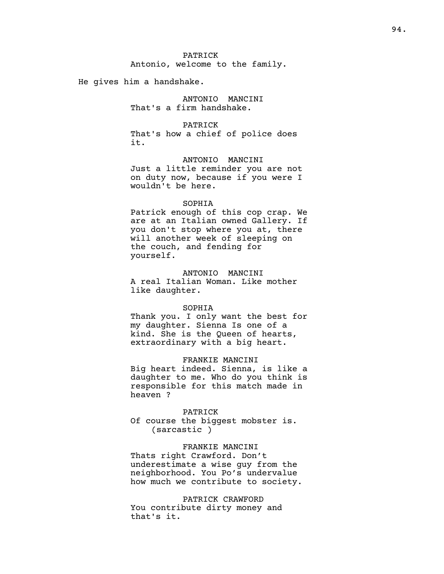Antonio, welcome to the family.

He gives him a handshake.

ANTONIO MANCINI That's a firm handshake.

## PATRICK

That's how a chief of police does it.

ANTONIO MANCINI

Just a little reminder you are not on duty now, because if you were I wouldn't be here.

### SOPHIA

Patrick enough of this cop crap. We are at an Italian owned Gallery. If you don't stop where you at, there will another week of sleeping on the couch, and fending for yourself.

#### ANTONIO MANCINI

A real Italian Woman. Like mother like daughter.

### SOPHIA

Thank you. I only want the best for my daughter. Sienna Is one of a kind. She is the Queen of hearts, extraordinary with a big heart.

#### FRANKIE MANCINI

Big heart indeed. Sienna, is like a daughter to me. Who do you think is responsible for this match made in heaven ?

## PATRICK Of course the biggest mobster is. (sarcastic )

FRANKIE MANCINI Thats right Crawford. Don't underestimate a wise guy from the neighborhood. You Po's undervalue how much we contribute to society.

PATRICK CRAWFORD You contribute dirty money and that's it.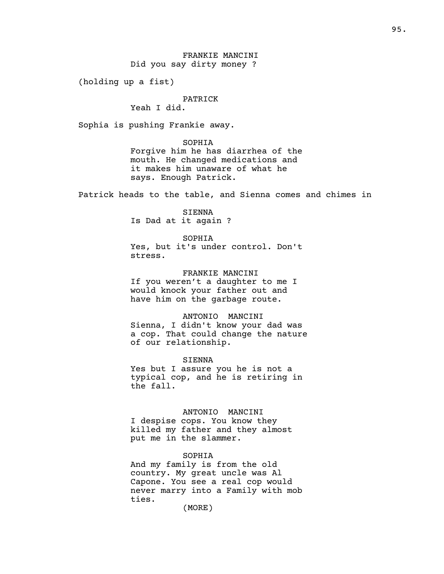(holding up a fist)

## PATRICK

Yeah I did.

Sophia is pushing Frankie away.

#### SOPHIA

Forgive him he has diarrhea of the mouth. He changed medications and it makes him unaware of what he says. Enough Patrick.

Patrick heads to the table, and Sienna comes and chimes in

### SIENNA

Is Dad at it again ?

#### SOPHIA

Yes, but it's under control. Don't stress.

## FRANKIE MANCINI

If you weren't a daughter to me I would knock your father out and have him on the garbage route.

#### ANTONIO MANCINI

Sienna, I didn't know your dad was a cop. That could change the nature of our relationship.

#### SIENNA

Yes but I assure you he is not a typical cop, and he is retiring in the fall.

#### ANTONIO MANCINI

I despise cops. You know they killed my father and they almost put me in the slammer.

#### SOPHIA

And my family is from the old country. My great uncle was Al Capone. You see a real cop would never marry into a Family with mob ties.

(MORE)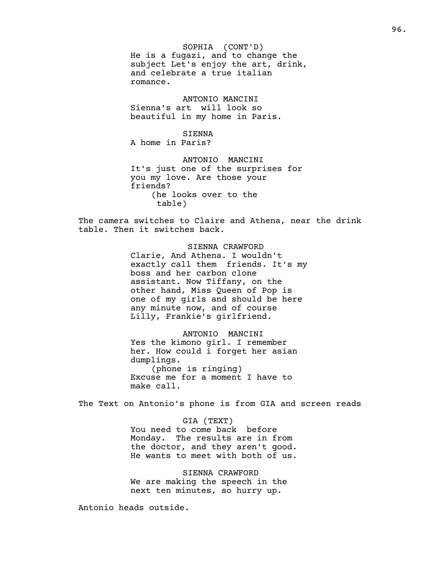SOPHIA (CONT'D) He is a fugazi, and to change the subject Let's enjoy the art, drink, and celebrate a true italian romance.

ANTONIO MANCINI Sienna's art will look so beautiful in my home in Paris.

SIENNA A home in Paris?

ANTONIO MANCINI It's just one of the surprises for you my love. Are those your friends? (he looks over to the table)

The camera switches to Claire and Athena, near the drink table. Then it switches back.

> SIENNA CRAWFORD Clarie, And Athena. I wouldn't exactly call them friends. It's my boss and her carbon clone assistant. Now Tiffany, on the other hand, Miss Queen of Pop is one of my girls and should be here any minute now, and of course Lilly, Frankie's girlfriend.

ANTONIO MANCINI Yes the kimono girl. I remember her. How could i forget her asian dumplings. (phone is ringing) Excuse me for a moment I have to make call.

The Text on Antonio's phone is from GIA and screen reads

GIA (TEXT) You need to come back before Monday. The results are in from the doctor, and they aren't good. He wants to meet with both of us.

SIENNA CRAWFORD We are making the speech in the next ten minutes, so hurry up.

Antonio heads outside.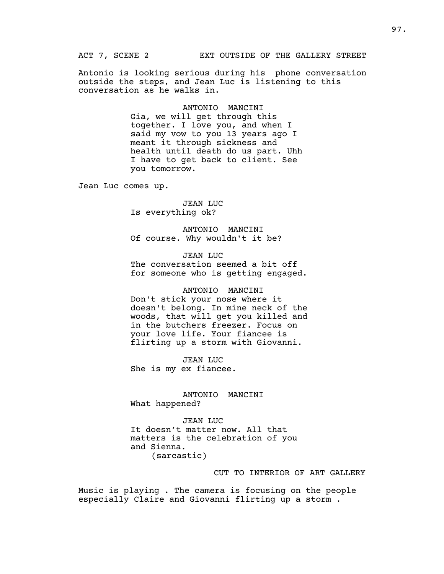Antonio is looking serious during his phone conversation outside the steps, and Jean Luc is listening to this conversation as he walks in.

> ANTONIO MANCINI Gia, we will get through this together. I love you, and when I said my vow to you 13 years ago I meant it through sickness and health until death do us part. Uhh I have to get back to client. See you tomorrow.

Jean Luc comes up.

JEAN LUC Is everything ok?

ANTONIO MANCINI Of course. Why wouldn't it be?

JEAN LUC The conversation seemed a bit off for someone who is getting engaged.

#### ANTONIO MANCINI

Don't stick your nose where it doesn't belong. In mine neck of the woods, that will get you killed and in the butchers freezer. Focus on your love life. Your fiancee is flirting up a storm with Giovanni.

JEAN LUC She is my ex fiancee.

ANTONIO MANCINI What happened?

JEAN LUC It doesn't matter now. All that matters is the celebration of you and Sienna. (sarcastic)

## CUT TO INTERIOR OF ART GALLERY

Music is playing . The camera is focusing on the people especially Claire and Giovanni flirting up a storm .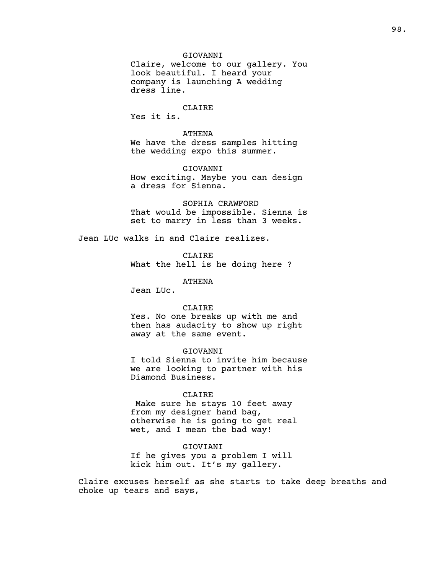## GIOVANNI

Claire, welcome to our gallery. You look beautiful. I heard your company is launching A wedding dress line.

## CLAIRE

Yes it is.

ATHENA We have the dress samples hitting the wedding expo this summer.

## GIOVANNI How exciting. Maybe you can design a dress for Sienna.

SOPHIA CRAWFORD That would be impossible. Sienna is set to marry in less than 3 weeks.

Jean LUc walks in and Claire realizes.

CLAIRE What the hell is he doing here ?

## ATHENA

Jean LUc.

#### CLAIRE

Yes. No one breaks up with me and then has audacity to show up right away at the same event.

#### GIOVANNI

I told Sienna to invite him because we are looking to partner with his Diamond Business.

## CLAIRE

Make sure he stays 10 feet away from my designer hand bag, otherwise he is going to get real wet, and I mean the bad way!

#### GIOVIANI

If he gives you a problem I will kick him out. It's my gallery.

Claire excuses herself as she starts to take deep breaths and choke up tears and says,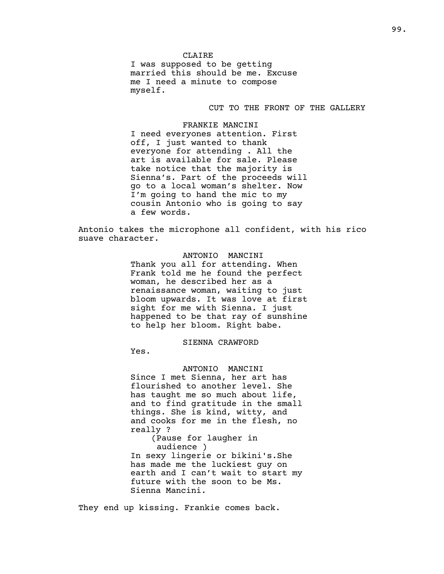CLAIRE I was supposed to be getting married this should be me. Excuse me I need a minute to compose myself.

## CUT TO THE FRONT OF THE GALLERY

FRANKIE MANCINI I need everyones attention. First off, I just wanted to thank everyone for attending . All the art is available for sale. Please take notice that the majority is Sienna's. Part of the proceeds will go to a local woman's shelter. Now I'm going to hand the mic to my cousin Antonio who is going to say a few words.

Antonio takes the microphone all confident, with his rico suave character.

> ANTONIO MANCINI Thank you all for attending. When Frank told me he found the perfect woman, he described her as a renaissance woman, waiting to just bloom upwards. It was love at first sight for me with Sienna. I just happened to be that ray of sunshine to help her bloom. Right babe.

## SIENNA CRAWFORD

Yes.

ANTONIO MANCINI Since I met Sienna, her art has flourished to another level. She has taught me so much about life, and to find gratitude in the small things. She is kind, witty, and and cooks for me in the flesh, no really ?

(Pause for laugher in audience )

In sexy lingerie or bikini's.She has made me the luckiest guy on earth and I can't wait to start my future with the soon to be Ms. Sienna Mancini.

They end up kissing. Frankie comes back.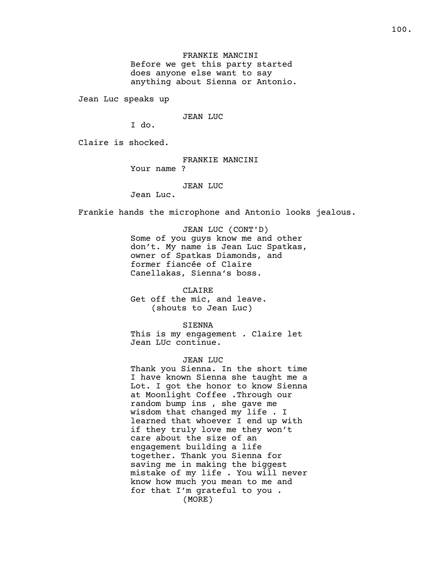FRANKIE MANCINI Before we get this party started does anyone else want to say anything about Sienna or Antonio.

Jean Luc speaks up

JEAN LUC

I do.

Claire is shocked.

FRANKIE MANCINI Your name ?

#### JEAN LUC

Jean Luc.

Frankie hands the microphone and Antonio looks jealous.

JEAN LUC (CONT'D) Some of you guys know me and other don't. My name is Jean Luc Spatkas, owner of Spatkas Diamonds, and former fiancée of Claire Canellakas, Sienna's boss.

CLAIRE Get off the mic, and leave. (shouts to Jean Luc)

SIENNA This is my engagement . Claire let Jean LUc continue.

#### JEAN LUC

Thank you Sienna. In the short time I have known Sienna she taught me a Lot. I got the honor to know Sienna at Moonlight Coffee .Through our random bump ins , she gave me wisdom that changed my life . I learned that whoever I end up with if they truly love me they won't care about the size of an engagement building a life together. Thank you Sienna for saving me in making the biggest mistake of my life . You will never know how much you mean to me and for that I'm grateful to you . (MORE)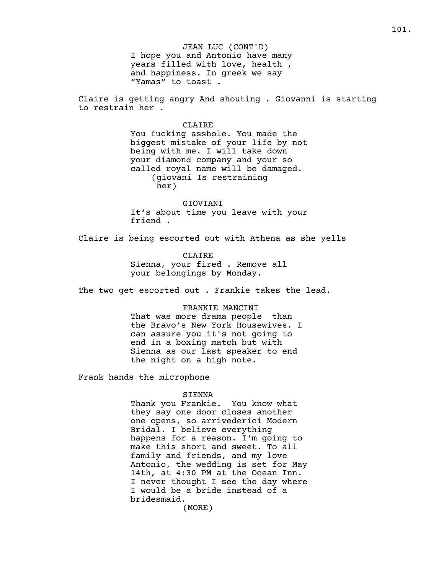JEAN LUC (CONT'D) I hope you and Antonio have many years filled with love, health , and happiness. In greek we say "Yamas" to toast .

Claire is getting angry And shouting . Giovanni is starting to restrain her .

#### CLAIRE

You fucking asshole. You made the biggest mistake of your life by not being with me. I will take down your diamond company and your so called royal name will be damaged. (giovani Is restraining her)

GIOVIANI It's about time you leave with your friend .

Claire is being escorted out with Athena as she yells

CLAIRE Sienna, your fired . Remove all your belongings by Monday.

The two get escorted out . Frankie takes the lead.

#### FRANKIE MANCINI

That was more drama people than the Bravo's New York Housewives. I can assure you it's not going to end in a boxing match but with Sienna as our last speaker to end the night on a high note.

Frank hands the microphone

#### SIENNA

Thank you Frankie. You know what they say one door closes another one opens, so arrivederici Modern Bridal. I believe everything happens for a reason. I'm going to make this short and sweet. To all family and friends, and my love Antonio, the wedding is set for May 14th, at 4:30 PM at the Ocean Inn. I never thought I see the day where I would be a bride instead of a bridesmaid.

(MORE)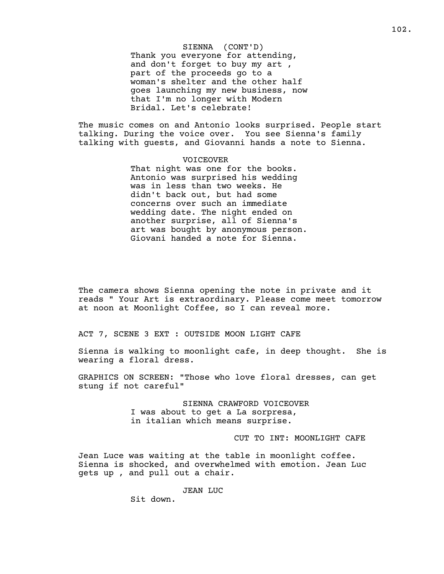SIENNA (CONT'D) Thank you everyone for attending, and don't forget to buy my art , part of the proceeds go to a woman's shelter and the other half goes launching my new business, now that I'm no longer with Modern Bridal. Let's celebrate!

The music comes on and Antonio looks surprised. People start talking. During the voice over. You see Sienna's family talking with guests, and Giovanni hands a note to Sienna.

## VOICEOVER That night was one for the books. Antonio was surprised his wedding was in less than two weeks. He didn't back out, but had some concerns over such an immediate wedding date. The night ended on another surprise, all of Sienna's art was bought by anonymous person. Giovani handed a note for Sienna.

The camera shows Sienna opening the note in private and it reads " Your Art is extraordinary. Please come meet tomorrow at noon at Moonlight Coffee, so I can reveal more.

ACT 7, SCENE 3 EXT : OUTSIDE MOON LIGHT CAFE

Sienna is walking to moonlight cafe, in deep thought. She is wearing a floral dress.

GRAPHICS ON SCREEN: "Those who love floral dresses, can get stung if not careful"

> SIENNA CRAWFORD VOICEOVER I was about to get a La sorpresa, in italian which means surprise.

> > CUT TO INT: MOONLIGHT CAFE

Jean Luce was waiting at the table in moonlight coffee. Sienna is shocked, and overwhelmed with emotion. Jean Luc gets up , and pull out a chair.

JEAN LUC

Sit down.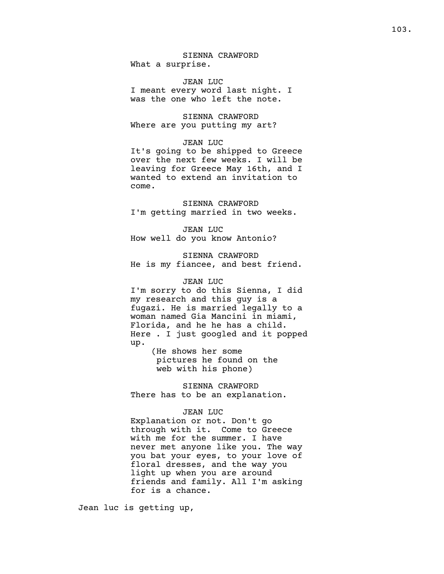## SIENNA CRAWFORD What a surprise.

JEAN LUC I meant every word last night. I was the one who left the note.

SIENNA CRAWFORD Where are you putting my art?

#### JEAN LUC

It's going to be shipped to Greece over the next few weeks. I will be leaving for Greece May 16th, and I wanted to extend an invitation to come.

SIENNA CRAWFORD I'm getting married in two weeks.

JEAN LUC How well do you know Antonio?

SIENNA CRAWFORD He is my fiancee, and best friend.

## JEAN LUC

I'm sorry to do this Sienna, I did my research and this guy is a fugazi. He is married legally to a woman named Gia Mancini in miami, Florida, and he he has a child. Here . I just googled and it popped up.

> (He shows her some pictures he found on the web with his phone)

SIENNA CRAWFORD There has to be an explanation.

## JEAN LUC

Explanation or not. Don't go through with it. Come to Greece with me for the summer. I have never met anyone like you. The way you bat your eyes, to your love of floral dresses, and the way you light up when you are around friends and family. All I'm asking for is a chance.

Jean luc is getting up,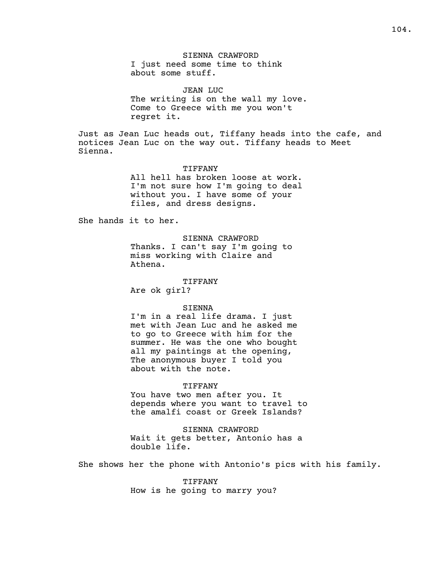JEAN LUC The writing is on the wall my love. Come to Greece with me you won't regret it.

Just as Jean Luc heads out, Tiffany heads into the cafe, and notices Jean Luc on the way out. Tiffany heads to Meet Sienna.

#### TIFFANY

All hell has broken loose at work. I'm not sure how I'm going to deal without you. I have some of your files, and dress designs.

She hands it to her.

## SIENNA CRAWFORD Thanks. I can't say I'm going to

miss working with Claire and Athena.

#### TIFFANY

Are ok girl?

#### SIENNA

I'm in a real life drama. I just met with Jean Luc and he asked me to go to Greece with him for the summer. He was the one who bought all my paintings at the opening, The anonymous buyer I told you about with the note.

### TIFFANY

You have two men after you. It depends where you want to travel to the amalfi coast or Greek Islands?

## SIENNA CRAWFORD Wait it gets better, Antonio has a double life.

She shows her the phone with Antonio's pics with his family.

TIFFANY How is he going to marry you?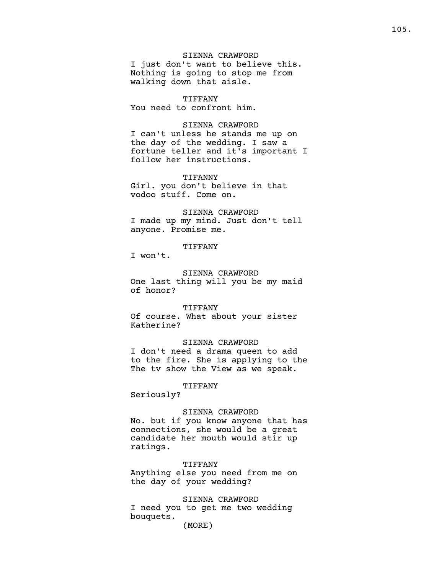## SIENNA CRAWFORD I just don't want to believe this. Nothing is going to stop me from walking down that aisle.

#### TIFFANY

You need to confront him.

## SIENNA CRAWFORD

I can't unless he stands me up on the day of the wedding. I saw a fortune teller and it's important I follow her instructions.

### TIFANNY

Girl. you don't believe in that vodoo stuff. Come on.

#### SIENNA CRAWFORD

I made up my mind. Just don't tell anyone. Promise me.

## TIFFANY

I won't.

# SIENNA CRAWFORD

One last thing will you be my maid of honor?

#### TIFFANY

Of course. What about your sister Katherine?

## SIENNA CRAWFORD

I don't need a drama queen to add to the fire. She is applying to the The tv show the View as we speak.

## TIFFANY

Seriously?

#### SIENNA CRAWFORD

No. but if you know anyone that has connections, she would be a great candidate her mouth would stir up ratings.

## TIFFANY

Anything else you need from me on the day of your wedding?

SIENNA CRAWFORD I need you to get me two wedding bouquets.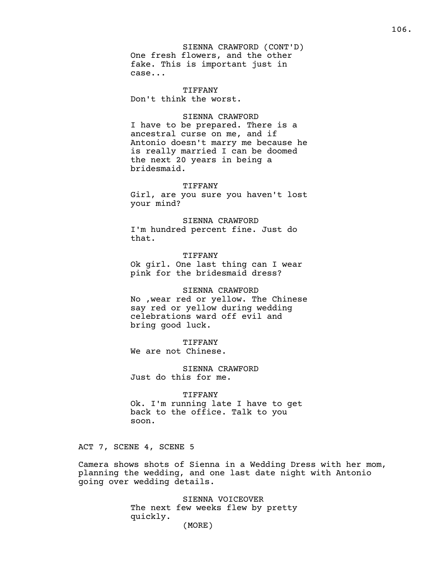SIENNA CRAWFORD (CONT'D) One fresh flowers, and the other fake. This is important just in case...

TIFFANY Don't think the worst.

## SIENNA CRAWFORD

I have to be prepared. There is a ancestral curse on me, and if Antonio doesn't marry me because he is really married I can be doomed the next 20 years in being a bridesmaid.

#### TIFFANY

Girl, are you sure you haven't lost your mind?

SIENNA CRAWFORD I'm hundred percent fine. Just do that.

TIFFANY Ok girl. One last thing can I wear pink for the bridesmaid dress?

SIENNA CRAWFORD No ,wear red or yellow. The Chinese say red or yellow during wedding celebrations ward off evil and bring good luck.

## TIFFANY

We are not Chinese.

SIENNA CRAWFORD Just do this for me.

#### TIFFANY

Ok. I'm running late I have to get back to the office. Talk to you soon.

ACT 7, SCENE 4, SCENE 5

Camera shows shots of Sienna in a Wedding Dress with her mom, planning the wedding, and one last date night with Antonio going over wedding details.

> SIENNA VOICEOVER The next few weeks flew by pretty quickly. (MORE)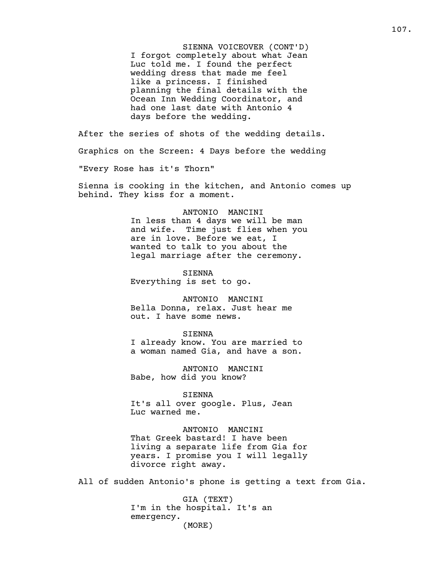SIENNA VOICEOVER (CONT'D) I forgot completely about what Jean Luc told me. I found the perfect wedding dress that made me feel like a princess. I finished planning the final details with the Ocean Inn Wedding Coordinator, and had one last date with Antonio 4 days before the wedding.

After the series of shots of the wedding details. Graphics on the Screen: 4 Days before the wedding "Every Rose has it's Thorn"

Sienna is cooking in the kitchen, and Antonio comes up behind. They kiss for a moment.

#### ANTONIO MANCINI

In less than 4 days we will be man and wife. Time just flies when you are in love. Before we eat, I wanted to talk to you about the legal marriage after the ceremony.

SIENNA Everything is set to go.

ANTONIO MANCINI Bella Donna, relax. Just hear me out. I have some news.

#### SIENNA

I already know. You are married to a woman named Gia, and have a son.

ANTONIO MANCINI Babe, how did you know?

SIENNA It's all over google. Plus, Jean Luc warned me.

ANTONIO MANCINI That Greek bastard! I have been living a separate life from Gia for years. I promise you I will legally divorce right away.

All of sudden Antonio's phone is getting a text from Gia.

GIA (TEXT) I'm in the hospital. It's an emergency. (MORE)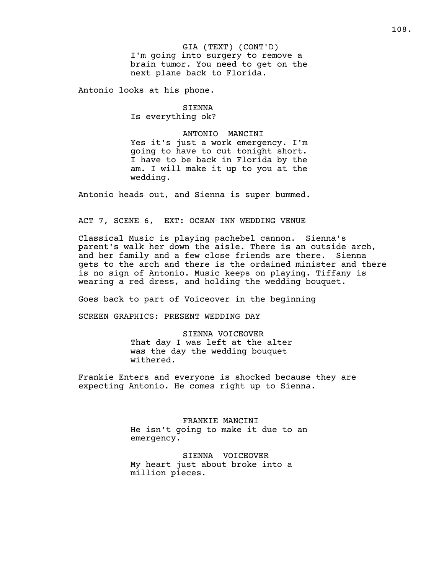Antonio looks at his phone.

SIENNA Is everything ok?

ANTONIO MANCINI Yes it's just a work emergency. I'm going to have to cut tonight short. I have to be back in Florida by the am. I will make it up to you at the wedding.

Antonio heads out, and Sienna is super bummed.

# ACT 7, SCENE 6, EXT: OCEAN INN WEDDING VENUE

Classical Music is playing pachebel cannon. Sienna's parent's walk her down the aisle. There is an outside arch, and her family and a few close friends are there. Sienna gets to the arch and there is the ordained minister and there is no sign of Antonio. Music keeps on playing. Tiffany is wearing a red dress, and holding the wedding bouquet.

Goes back to part of Voiceover in the beginning

SCREEN GRAPHICS: PRESENT WEDDING DAY

# SIENNA VOICEOVER

That day I was left at the alter was the day the wedding bouquet withered.

Frankie Enters and everyone is shocked because they are expecting Antonio. He comes right up to Sienna.

> FRANKIE MANCINI He isn't going to make it due to an emergency.

SIENNA VOICEOVER My heart just about broke into a million pieces.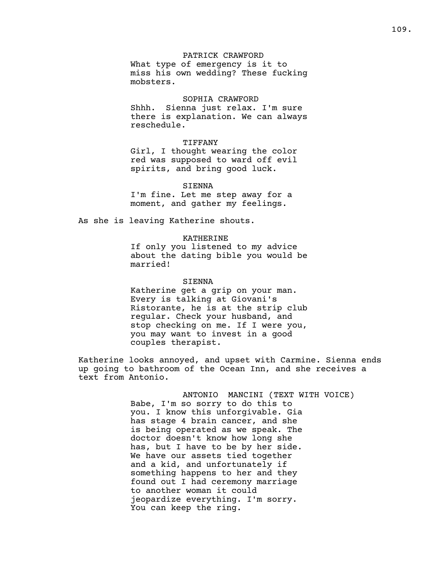### PATRICK CRAWFORD

What type of emergency is it to miss his own wedding? These fucking mobsters.

### SOPHIA CRAWFORD

Shhh. Sienna just relax. I'm sure there is explanation. We can always reschedule.

#### TIFFANY

Girl, I thought wearing the color red was supposed to ward off evil spirits, and bring good luck.

#### SIENNA

I'm fine. Let me step away for a moment, and gather my feelings.

As she is leaving Katherine shouts.

### KATHERINE

If only you listened to my advice about the dating bible you would be married!

### SIENNA

Katherine get a grip on your man. Every is talking at Giovani's Ristorante, he is at the strip club regular. Check your husband, and stop checking on me. If I were you, you may want to invest in a good couples therapist.

Katherine looks annoyed, and upset with Carmine. Sienna ends up going to bathroom of the Ocean Inn, and she receives a text from Antonio.

> ANTONIO MANCINI (TEXT WITH VOICE) Babe, I'm so sorry to do this to you. I know this unforgivable. Gia has stage 4 brain cancer, and she is being operated as we speak. The doctor doesn't know how long she has, but I have to be by her side. We have our assets tied together and a kid, and unfortunately if something happens to her and they found out I had ceremony marriage to another woman it could jeopardize everything. I'm sorry. You can keep the ring.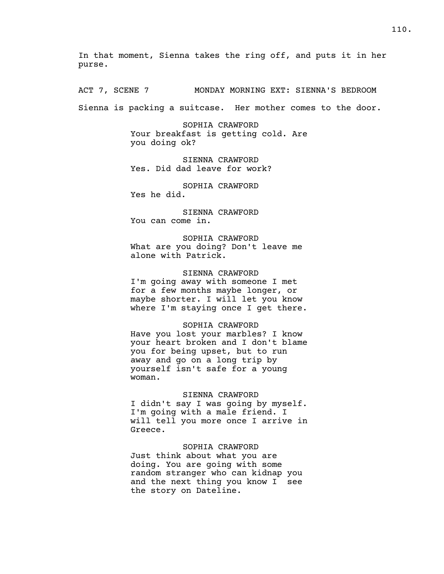In that moment, Sienna takes the ring off, and puts it in her purse.

ACT 7, SCENE 7 MONDAY MORNING EXT: SIENNA'S BEDROOM

Sienna is packing a suitcase. Her mother comes to the door.

SOPHIA CRAWFORD Your breakfast is getting cold. Are you doing ok?

SIENNA CRAWFORD Yes. Did dad leave for work?

SOPHIA CRAWFORD Yes he did.

SIENNA CRAWFORD You can come in.

SOPHIA CRAWFORD What are you doing? Don't leave me alone with Patrick.

# SIENNA CRAWFORD

I'm going away with someone I met for a few months maybe longer, or maybe shorter. I will let you know where I'm staying once I get there.

### SOPHIA CRAWFORD

Have you lost your marbles? I know your heart broken and I don't blame you for being upset, but to run away and go on a long trip by yourself isn't safe for a young woman.

## SIENNA CRAWFORD

I didn't say I was going by myself. I'm going with a male friend. I will tell you more once I arrive in Greece.

# SOPHIA CRAWFORD

Just think about what you are doing. You are going with some random stranger who can kidnap you and the next thing you know I see the story on Dateline.